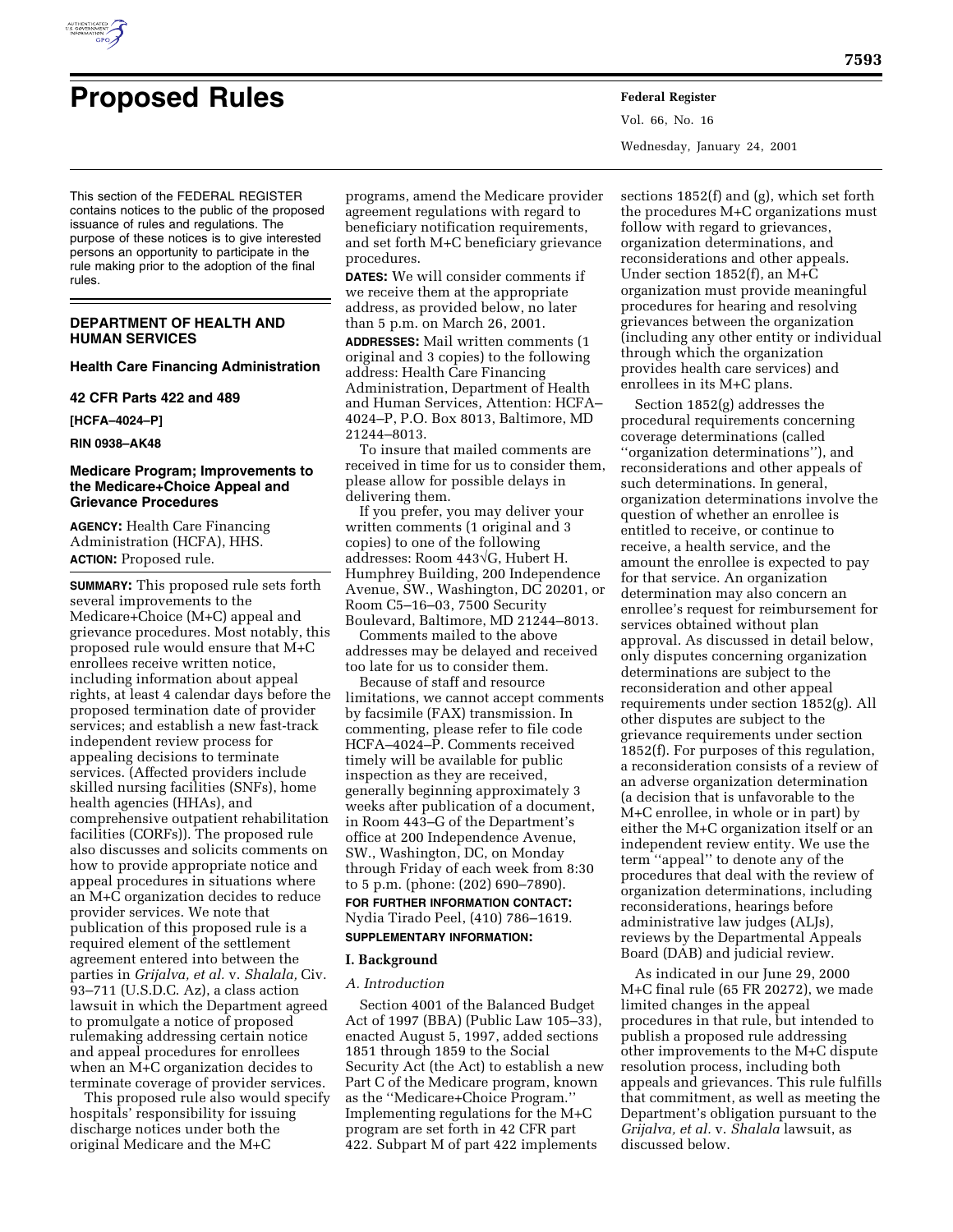

Vol. 66, No. 16 Wednesday, January 24, 2001

This section of the FEDERAL REGISTER contains notices to the public of the proposed issuance of rules and regulations. The purpose of these notices is to give interested persons an opportunity to participate in the rule making prior to the adoption of the final rules.

## **DEPARTMENT OF HEALTH AND HUMAN SERVICES**

### **Health Care Financing Administration**

#### **42 CFR Parts 422 and 489**

**[HCFA–4024–P]**

**RIN 0938–AK48**

## **Medicare Program; Improvements to the Medicare+Choice Appeal and Grievance Procedures**

**AGENCY:** Health Care Financing Administration (HCFA), HHS. **ACTION:** Proposed rule.

**SUMMARY:** This proposed rule sets forth several improvements to the Medicare+Choice (M+C) appeal and grievance procedures. Most notably, this proposed rule would ensure that M+C enrollees receive written notice, including information about appeal rights, at least 4 calendar days before the proposed termination date of provider services; and establish a new fast-track independent review process for appealing decisions to terminate services. (Affected providers include skilled nursing facilities (SNFs), home health agencies (HHAs), and comprehensive outpatient rehabilitation facilities (CORFs)). The proposed rule also discusses and solicits comments on how to provide appropriate notice and appeal procedures in situations where an M+C organization decides to reduce provider services. We note that publication of this proposed rule is a required element of the settlement agreement entered into between the parties in *Grijalva, et al.* v. *Shalala,* Civ. 93–711 (U.S.D.C. Az), a class action lawsuit in which the Department agreed to promulgate a notice of proposed rulemaking addressing certain notice and appeal procedures for enrollees when an M+C organization decides to terminate coverage of provider services.

This proposed rule also would specify hospitals' responsibility for issuing discharge notices under both the original Medicare and the M+C

programs, amend the Medicare provider agreement regulations with regard to beneficiary notification requirements, and set forth M+C beneficiary grievance procedures.

**DATES:** We will consider comments if we receive them at the appropriate address, as provided below, no later than 5 p.m. on March 26, 2001.

**ADDRESSES:** Mail written comments (1 original and 3 copies) to the following address: Health Care Financing Administration, Department of Health and Human Services, Attention: HCFA– 4024–P, P.O. Box 8013, Baltimore, MD 21244–8013.

To insure that mailed comments are received in time for us to consider them, please allow for possible delays in delivering them.

If you prefer, you may deliver your written comments (1 original and 3 copies) to one of the following addresses: Room 443√G, Hubert H. Humphrey Building, 200 Independence Avenue, SW., Washington, DC 20201, or Room C5–16–03, 7500 Security Boulevard, Baltimore, MD 21244–8013.

Comments mailed to the above addresses may be delayed and received too late for us to consider them.

Because of staff and resource limitations, we cannot accept comments by facsimile (FAX) transmission. In commenting, please refer to file code HCFA–4024–P. Comments received timely will be available for public inspection as they are received, generally beginning approximately 3 weeks after publication of a document, in Room 443–G of the Department's office at 200 Independence Avenue, SW., Washington, DC, on Monday through Friday of each week from 8:30 to 5 p.m. (phone: (202) 690–7890).

## **FOR FURTHER INFORMATION CONTACT:** Nydia Tirado Peel, (410) 786–1619. **SUPPLEMENTARY INFORMATION:**

## **I. Background**

### *A. Introduction*

Section 4001 of the Balanced Budget Act of 1997 (BBA) (Public Law 105–33), enacted August 5, 1997, added sections 1851 through 1859 to the Social Security Act (the Act) to establish a new Part C of the Medicare program, known as the ''Medicare+Choice Program.'' Implementing regulations for the M+C program are set forth in 42 CFR part 422. Subpart M of part 422 implements

sections 1852(f) and (g), which set forth the procedures M+C organizations must follow with regard to grievances, organization determinations, and reconsiderations and other appeals. Under section 1852(f), an M+C organization must provide meaningful procedures for hearing and resolving grievances between the organization (including any other entity or individual through which the organization provides health care services) and enrollees in its M+C plans.

Section 1852(g) addresses the procedural requirements concerning coverage determinations (called ''organization determinations''), and reconsiderations and other appeals of such determinations. In general, organization determinations involve the question of whether an enrollee is entitled to receive, or continue to receive, a health service, and the amount the enrollee is expected to pay for that service. An organization determination may also concern an enrollee's request for reimbursement for services obtained without plan approval. As discussed in detail below, only disputes concerning organization determinations are subject to the reconsideration and other appeal requirements under section 1852(g). All other disputes are subject to the grievance requirements under section 1852(f). For purposes of this regulation, a reconsideration consists of a review of an adverse organization determination (a decision that is unfavorable to the M+C enrollee, in whole or in part) by either the M+C organization itself or an independent review entity. We use the term ''appeal'' to denote any of the procedures that deal with the review of organization determinations, including reconsiderations, hearings before administrative law judges (ALJs), reviews by the Departmental Appeals Board (DAB) and judicial review.

As indicated in our June 29, 2000 M+C final rule (65 FR 20272), we made limited changes in the appeal procedures in that rule, but intended to publish a proposed rule addressing other improvements to the M+C dispute resolution process, including both appeals and grievances. This rule fulfills that commitment, as well as meeting the Department's obligation pursuant to the *Grijalva, et al.* v. *Shalala* lawsuit, as discussed below.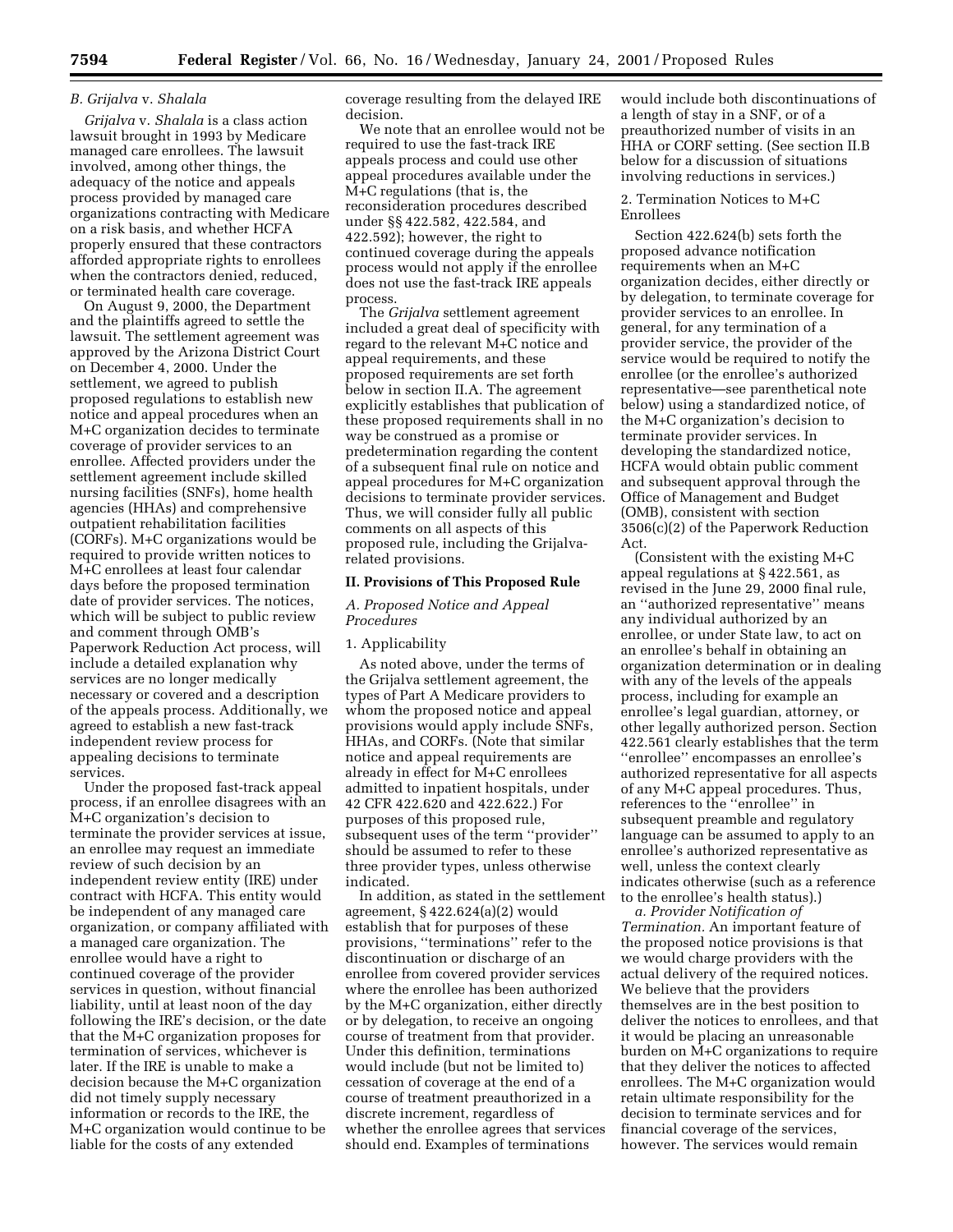## *B. Grijalva* v. *Shalala*

*Grijalva* v. *Shalala* is a class action lawsuit brought in 1993 by Medicare managed care enrollees. The lawsuit involved, among other things, the adequacy of the notice and appeals process provided by managed care organizations contracting with Medicare on a risk basis, and whether HCFA properly ensured that these contractors afforded appropriate rights to enrollees when the contractors denied, reduced, or terminated health care coverage.

On August 9, 2000, the Department and the plaintiffs agreed to settle the lawsuit. The settlement agreement was approved by the Arizona District Court on December 4, 2000. Under the settlement, we agreed to publish proposed regulations to establish new notice and appeal procedures when an M+C organization decides to terminate coverage of provider services to an enrollee. Affected providers under the settlement agreement include skilled nursing facilities (SNFs), home health agencies (HHAs) and comprehensive outpatient rehabilitation facilities (CORFs). M+C organizations would be required to provide written notices to M+C enrollees at least four calendar days before the proposed termination date of provider services. The notices, which will be subject to public review and comment through OMB's Paperwork Reduction Act process, will include a detailed explanation why services are no longer medically necessary or covered and a description of the appeals process. Additionally, we agreed to establish a new fast-track independent review process for appealing decisions to terminate services.

Under the proposed fast-track appeal process, if an enrollee disagrees with an M+C organization's decision to terminate the provider services at issue, an enrollee may request an immediate review of such decision by an independent review entity (IRE) under contract with HCFA. This entity would be independent of any managed care organization, or company affiliated with a managed care organization. The enrollee would have a right to continued coverage of the provider services in question, without financial liability, until at least noon of the day following the IRE's decision, or the date that the M+C organization proposes for termination of services, whichever is later. If the IRE is unable to make a decision because the M+C organization did not timely supply necessary information or records to the IRE, the M+C organization would continue to be liable for the costs of any extended

coverage resulting from the delayed IRE decision.

We note that an enrollee would not be required to use the fast-track IRE appeals process and could use other appeal procedures available under the M+C regulations (that is, the reconsideration procedures described under §§ 422.582, 422.584, and 422.592); however, the right to continued coverage during the appeals process would not apply if the enrollee does not use the fast-track IRE appeals process.

The *Grijalva* settlement agreement included a great deal of specificity with regard to the relevant M+C notice and appeal requirements, and these proposed requirements are set forth below in section II.A. The agreement explicitly establishes that publication of these proposed requirements shall in no way be construed as a promise or predetermination regarding the content of a subsequent final rule on notice and appeal procedures for M+C organization decisions to terminate provider services. Thus, we will consider fully all public comments on all aspects of this proposed rule, including the Grijalvarelated provisions.

### **II. Provisions of This Proposed Rule**

## *A. Proposed Notice and Appeal Procedures*

### 1. Applicability

As noted above, under the terms of the Grijalva settlement agreement, the types of Part A Medicare providers to whom the proposed notice and appeal provisions would apply include SNFs, HHAs, and CORFs. (Note that similar notice and appeal requirements are already in effect for M+C enrollees admitted to inpatient hospitals, under 42 CFR 422.620 and 422.622.) For purposes of this proposed rule, subsequent uses of the term ''provider'' should be assumed to refer to these three provider types, unless otherwise indicated.

In addition, as stated in the settlement agreement, § 422.624(a)(2) would establish that for purposes of these provisions, ''terminations'' refer to the discontinuation or discharge of an enrollee from covered provider services where the enrollee has been authorized by the M+C organization, either directly or by delegation, to receive an ongoing course of treatment from that provider. Under this definition, terminations would include (but not be limited to) cessation of coverage at the end of a course of treatment preauthorized in a discrete increment, regardless of whether the enrollee agrees that services should end. Examples of terminations

would include both discontinuations of a length of stay in a SNF, or of a preauthorized number of visits in an HHA or CORF setting. (See section II.B below for a discussion of situations involving reductions in services.)

### 2. Termination Notices to M+C Enrollees

Section 422.624(b) sets forth the proposed advance notification requirements when an M+C organization decides, either directly or by delegation, to terminate coverage for provider services to an enrollee. In general, for any termination of a provider service, the provider of the service would be required to notify the enrollee (or the enrollee's authorized representative—see parenthetical note below) using a standardized notice, of the M+C organization's decision to terminate provider services. In developing the standardized notice, HCFA would obtain public comment and subsequent approval through the Office of Management and Budget (OMB), consistent with section 3506(c)(2) of the Paperwork Reduction Act.

(Consistent with the existing M+C appeal regulations at § 422.561, as revised in the June 29, 2000 final rule, an ''authorized representative'' means any individual authorized by an enrollee, or under State law, to act on an enrollee's behalf in obtaining an organization determination or in dealing with any of the levels of the appeals process, including for example an enrollee's legal guardian, attorney, or other legally authorized person. Section 422.561 clearly establishes that the term ''enrollee'' encompasses an enrollee's authorized representative for all aspects of any M+C appeal procedures. Thus, references to the ''enrollee'' in subsequent preamble and regulatory language can be assumed to apply to an enrollee's authorized representative as well, unless the context clearly indicates otherwise (such as a reference to the enrollee's health status).)

*a. Provider Notification of Termination.* An important feature of the proposed notice provisions is that we would charge providers with the actual delivery of the required notices. We believe that the providers themselves are in the best position to deliver the notices to enrollees, and that it would be placing an unreasonable burden on M+C organizations to require that they deliver the notices to affected enrollees. The M+C organization would retain ultimate responsibility for the decision to terminate services and for financial coverage of the services, however. The services would remain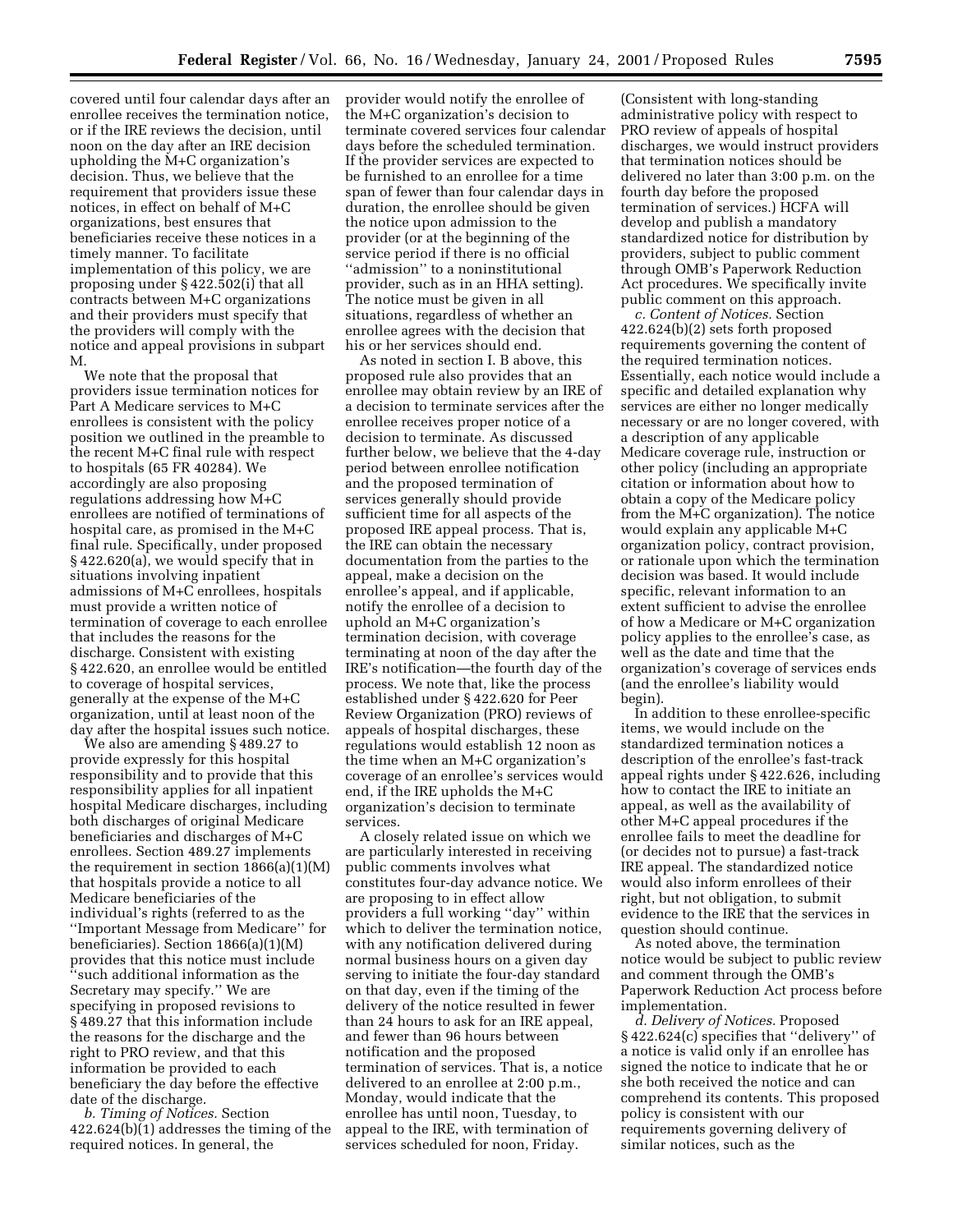covered until four calendar days after an enrollee receives the termination notice, or if the IRE reviews the decision, until noon on the day after an IRE decision upholding the M+C organization's decision. Thus, we believe that the requirement that providers issue these notices, in effect on behalf of M+C organizations, best ensures that beneficiaries receive these notices in a timely manner. To facilitate implementation of this policy, we are proposing under § 422.502(i) that all contracts between M+C organizations and their providers must specify that the providers will comply with the notice and appeal provisions in subpart M.

We note that the proposal that providers issue termination notices for Part A Medicare services to M+C enrollees is consistent with the policy position we outlined in the preamble to the recent M+C final rule with respect to hospitals (65 FR 40284). We accordingly are also proposing regulations addressing how M+C enrollees are notified of terminations of hospital care, as promised in the M+C final rule. Specifically, under proposed § 422.620(a), we would specify that in situations involving inpatient admissions of M+C enrollees, hospitals must provide a written notice of termination of coverage to each enrollee that includes the reasons for the discharge. Consistent with existing § 422.620, an enrollee would be entitled to coverage of hospital services, generally at the expense of the M+C organization, until at least noon of the day after the hospital issues such notice.

We also are amending § 489.27 to provide expressly for this hospital responsibility and to provide that this responsibility applies for all inpatient hospital Medicare discharges, including both discharges of original Medicare beneficiaries and discharges of M+C enrollees. Section 489.27 implements the requirement in section  $1866(a)(1)(M)$ that hospitals provide a notice to all Medicare beneficiaries of the individual's rights (referred to as the ''Important Message from Medicare'' for beneficiaries). Section 1866(a)(1)(M) provides that this notice must include ''such additional information as the Secretary may specify.'' We are specifying in proposed revisions to § 489.27 that this information include the reasons for the discharge and the right to PRO review, and that this information be provided to each beneficiary the day before the effective date of the discharge.

*b. Timing of Notices.* Section 422.624(b)(1) addresses the timing of the required notices. In general, the

provider would notify the enrollee of the M+C organization's decision to terminate covered services four calendar days before the scheduled termination. If the provider services are expected to be furnished to an enrollee for a time span of fewer than four calendar days in duration, the enrollee should be given the notice upon admission to the provider (or at the beginning of the service period if there is no official ''admission'' to a noninstitutional provider, such as in an HHA setting). The notice must be given in all situations, regardless of whether an enrollee agrees with the decision that his or her services should end.

As noted in section I. B above, this proposed rule also provides that an enrollee may obtain review by an IRE of a decision to terminate services after the enrollee receives proper notice of a decision to terminate. As discussed further below, we believe that the 4-day period between enrollee notification and the proposed termination of services generally should provide sufficient time for all aspects of the proposed IRE appeal process. That is, the IRE can obtain the necessary documentation from the parties to the appeal, make a decision on the enrollee's appeal, and if applicable, notify the enrollee of a decision to uphold an M+C organization's termination decision, with coverage terminating at noon of the day after the IRE's notification—the fourth day of the process. We note that, like the process established under § 422.620 for Peer Review Organization (PRO) reviews of appeals of hospital discharges, these regulations would establish 12 noon as the time when an M+C organization's coverage of an enrollee's services would end, if the IRE upholds the M+C organization's decision to terminate services.

A closely related issue on which we are particularly interested in receiving public comments involves what constitutes four-day advance notice. We are proposing to in effect allow providers a full working ''day'' within which to deliver the termination notice, with any notification delivered during normal business hours on a given day serving to initiate the four-day standard on that day, even if the timing of the delivery of the notice resulted in fewer than 24 hours to ask for an IRE appeal, and fewer than 96 hours between notification and the proposed termination of services. That is, a notice delivered to an enrollee at 2:00 p.m., Monday, would indicate that the enrollee has until noon, Tuesday, to appeal to the IRE, with termination of services scheduled for noon, Friday.

(Consistent with long-standing administrative policy with respect to PRO review of appeals of hospital discharges, we would instruct providers that termination notices should be delivered no later than 3:00 p.m. on the fourth day before the proposed termination of services.) HCFA will develop and publish a mandatory standardized notice for distribution by providers, subject to public comment through OMB's Paperwork Reduction Act procedures. We specifically invite public comment on this approach.

*c. Content of Notices.* Section 422.624(b)(2) sets forth proposed requirements governing the content of the required termination notices. Essentially, each notice would include a specific and detailed explanation why services are either no longer medically necessary or are no longer covered, with a description of any applicable Medicare coverage rule, instruction or other policy (including an appropriate citation or information about how to obtain a copy of the Medicare policy from the M+C organization). The notice would explain any applicable M+C organization policy, contract provision, or rationale upon which the termination decision was based. It would include specific, relevant information to an extent sufficient to advise the enrollee of how a Medicare or M+C organization policy applies to the enrollee's case, as well as the date and time that the organization's coverage of services ends (and the enrollee's liability would begin).

In addition to these enrollee-specific items, we would include on the standardized termination notices a description of the enrollee's fast-track appeal rights under § 422.626, including how to contact the IRE to initiate an appeal, as well as the availability of other M+C appeal procedures if the enrollee fails to meet the deadline for (or decides not to pursue) a fast-track IRE appeal. The standardized notice would also inform enrollees of their right, but not obligation, to submit evidence to the IRE that the services in question should continue.

As noted above, the termination notice would be subject to public review and comment through the OMB's Paperwork Reduction Act process before implementation.

*d. Delivery of Notices.* Proposed § 422.624(c) specifies that ''delivery'' of a notice is valid only if an enrollee has signed the notice to indicate that he or she both received the notice and can comprehend its contents. This proposed policy is consistent with our requirements governing delivery of similar notices, such as the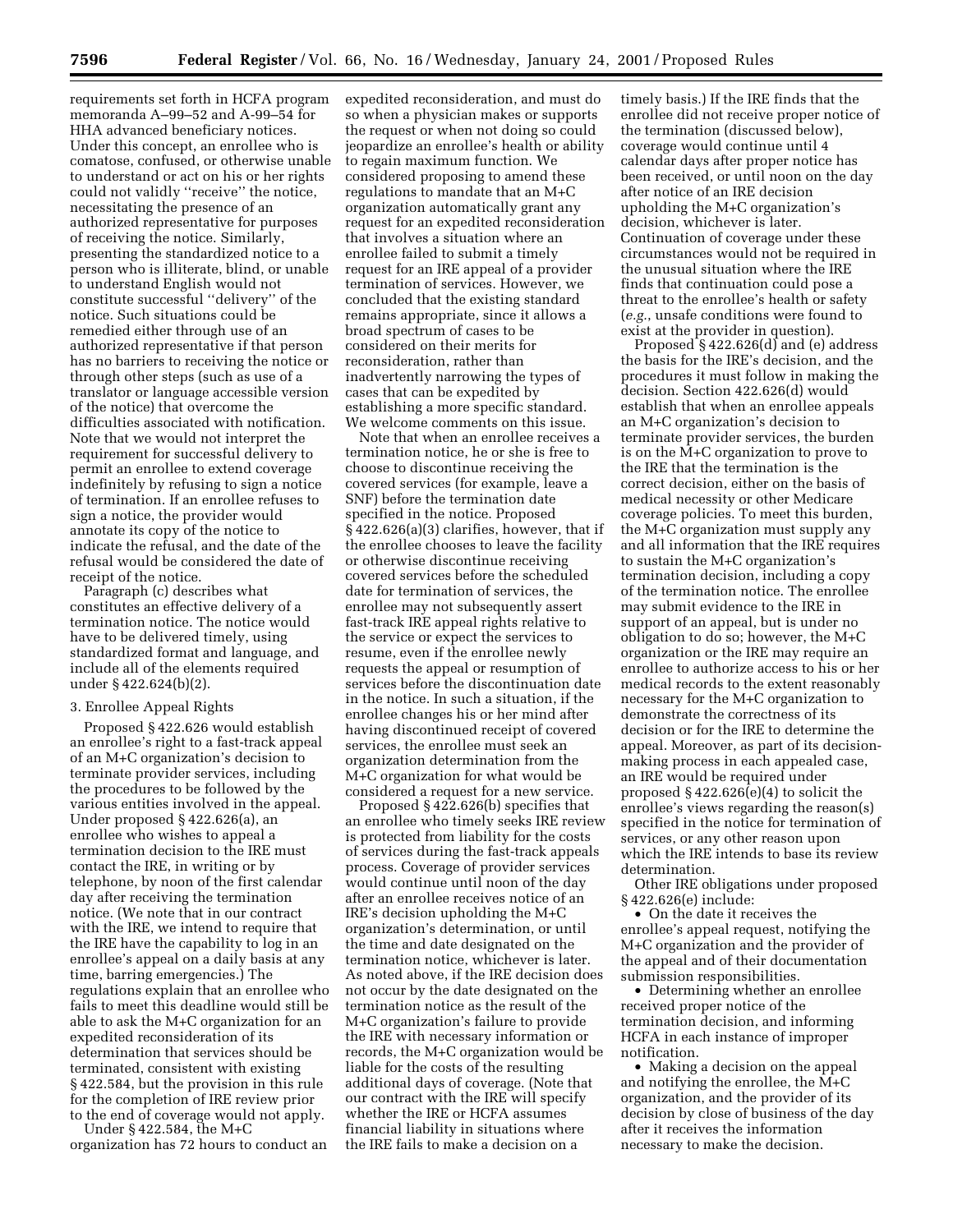requirements set forth in HCFA program memoranda A–99–52 and A-99–54 for HHA advanced beneficiary notices. Under this concept, an enrollee who is comatose, confused, or otherwise unable to understand or act on his or her rights could not validly ''receive'' the notice, necessitating the presence of an authorized representative for purposes of receiving the notice. Similarly, presenting the standardized notice to a person who is illiterate, blind, or unable to understand English would not constitute successful ''delivery'' of the notice. Such situations could be remedied either through use of an authorized representative if that person has no barriers to receiving the notice or through other steps (such as use of a translator or language accessible version of the notice) that overcome the difficulties associated with notification. Note that we would not interpret the requirement for successful delivery to permit an enrollee to extend coverage indefinitely by refusing to sign a notice of termination. If an enrollee refuses to sign a notice, the provider would annotate its copy of the notice to indicate the refusal, and the date of the refusal would be considered the date of receipt of the notice.

Paragraph (c) describes what constitutes an effective delivery of a termination notice. The notice would have to be delivered timely, using standardized format and language, and include all of the elements required under § 422.624(b)(2).

## 3. Enrollee Appeal Rights

Proposed § 422.626 would establish an enrollee's right to a fast-track appeal of an M+C organization's decision to terminate provider services, including the procedures to be followed by the various entities involved in the appeal. Under proposed § 422.626(a), an enrollee who wishes to appeal a termination decision to the IRE must contact the IRE, in writing or by telephone, by noon of the first calendar day after receiving the termination notice. (We note that in our contract with the IRE, we intend to require that the IRE have the capability to log in an enrollee's appeal on a daily basis at any time, barring emergencies.) The regulations explain that an enrollee who fails to meet this deadline would still be able to ask the M+C organization for an expedited reconsideration of its determination that services should be terminated, consistent with existing § 422.584, but the provision in this rule for the completion of IRE review prior to the end of coverage would not apply.

Under § 422.584, the M+C organization has 72 hours to conduct an expedited reconsideration, and must do so when a physician makes or supports the request or when not doing so could jeopardize an enrollee's health or ability to regain maximum function. We considered proposing to amend these regulations to mandate that an M+C organization automatically grant any request for an expedited reconsideration that involves a situation where an enrollee failed to submit a timely request for an IRE appeal of a provider termination of services. However, we concluded that the existing standard remains appropriate, since it allows a broad spectrum of cases to be considered on their merits for reconsideration, rather than inadvertently narrowing the types of cases that can be expedited by establishing a more specific standard. We welcome comments on this issue.

Note that when an enrollee receives a termination notice, he or she is free to choose to discontinue receiving the covered services (for example, leave a SNF) before the termination date specified in the notice. Proposed § 422.626(a)(3) clarifies, however, that if the enrollee chooses to leave the facility or otherwise discontinue receiving covered services before the scheduled date for termination of services, the enrollee may not subsequently assert fast-track IRE appeal rights relative to the service or expect the services to resume, even if the enrollee newly requests the appeal or resumption of services before the discontinuation date in the notice. In such a situation, if the enrollee changes his or her mind after having discontinued receipt of covered services, the enrollee must seek an organization determination from the M+C organization for what would be considered a request for a new service.

Proposed § 422.626(b) specifies that an enrollee who timely seeks IRE review is protected from liability for the costs of services during the fast-track appeals process. Coverage of provider services would continue until noon of the day after an enrollee receives notice of an IRE's decision upholding the M+C organization's determination, or until the time and date designated on the termination notice, whichever is later. As noted above, if the IRE decision does not occur by the date designated on the termination notice as the result of the M+C organization's failure to provide the IRE with necessary information or records, the M+C organization would be liable for the costs of the resulting additional days of coverage. (Note that our contract with the IRE will specify whether the IRE or HCFA assumes financial liability in situations where the IRE fails to make a decision on a

timely basis.) If the IRE finds that the enrollee did not receive proper notice of the termination (discussed below), coverage would continue until 4 calendar days after proper notice has been received, or until noon on the day after notice of an IRE decision upholding the M+C organization's decision, whichever is later. Continuation of coverage under these circumstances would not be required in the unusual situation where the IRE finds that continuation could pose a threat to the enrollee's health or safety (*e.g.*, unsafe conditions were found to exist at the provider in question).

Proposed § 422.626(d) and (e) address the basis for the IRE's decision, and the procedures it must follow in making the decision. Section 422.626(d) would establish that when an enrollee appeals an M+C organization's decision to terminate provider services, the burden is on the M+C organization to prove to the IRE that the termination is the correct decision, either on the basis of medical necessity or other Medicare coverage policies. To meet this burden, the M+C organization must supply any and all information that the IRE requires to sustain the M+C organization's termination decision, including a copy of the termination notice. The enrollee may submit evidence to the IRE in support of an appeal, but is under no obligation to do so; however, the M+C organization or the IRE may require an enrollee to authorize access to his or her medical records to the extent reasonably necessary for the M+C organization to demonstrate the correctness of its decision or for the IRE to determine the appeal. Moreover, as part of its decisionmaking process in each appealed case, an IRE would be required under proposed § 422.626(e)(4) to solicit the enrollee's views regarding the reason(s) specified in the notice for termination of services, or any other reason upon which the IRE intends to base its review determination.

Other IRE obligations under proposed § 422.626(e) include:

• On the date it receives the enrollee's appeal request, notifying the M+C organization and the provider of the appeal and of their documentation submission responsibilities.

• Determining whether an enrollee received proper notice of the termination decision, and informing HCFA in each instance of improper notification.

• Making a decision on the appeal and notifying the enrollee, the M+C organization, and the provider of its decision by close of business of the day after it receives the information necessary to make the decision.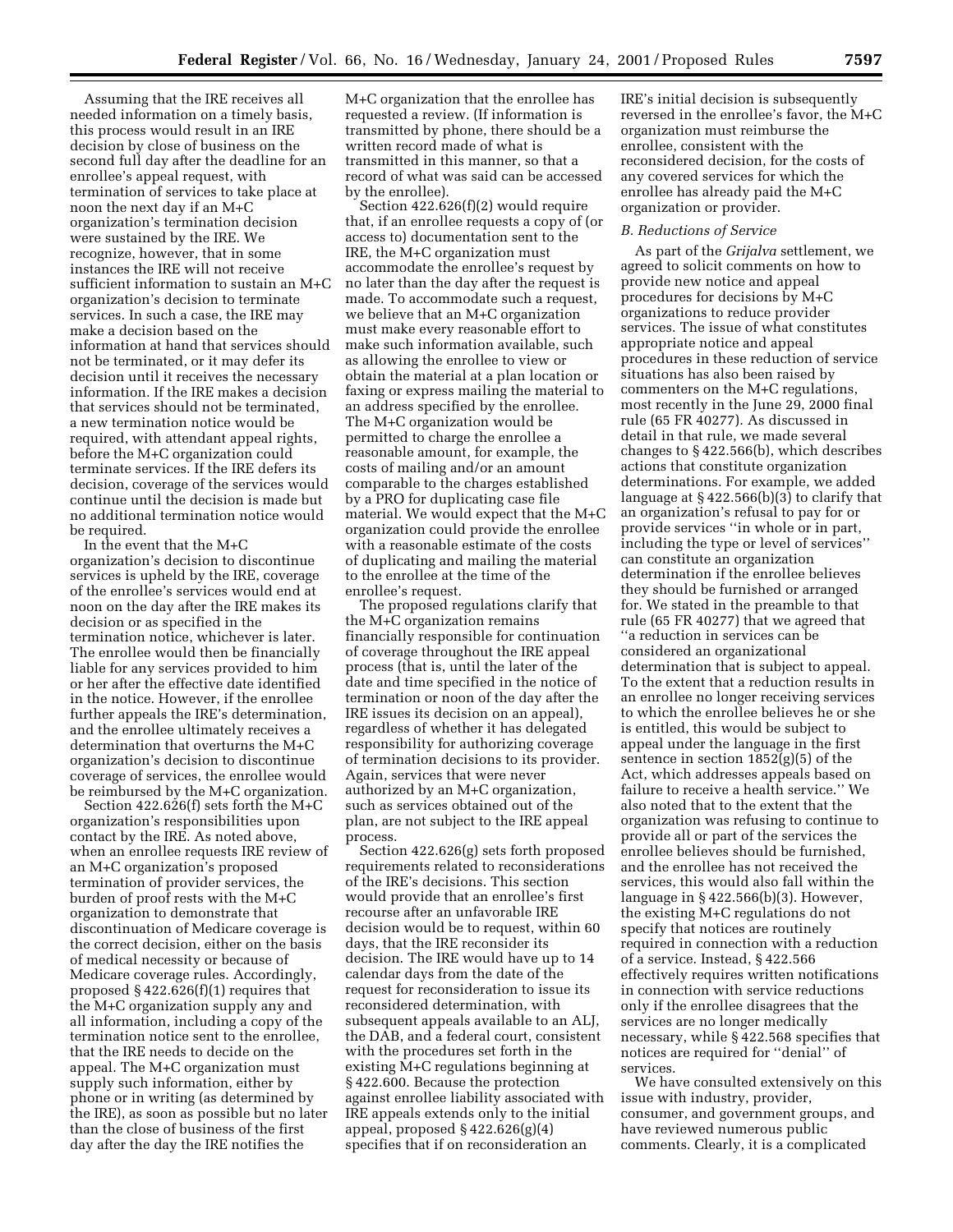Assuming that the IRE receives all needed information on a timely basis, this process would result in an IRE decision by close of business on the second full day after the deadline for an enrollee's appeal request, with termination of services to take place at noon the next day if an M+C organization's termination decision were sustained by the IRE. We recognize, however, that in some instances the IRE will not receive sufficient information to sustain an M+C organization's decision to terminate services. In such a case, the IRE may make a decision based on the information at hand that services should not be terminated, or it may defer its decision until it receives the necessary information. If the IRE makes a decision that services should not be terminated, a new termination notice would be required, with attendant appeal rights, before the M+C organization could terminate services. If the IRE defers its decision, coverage of the services would continue until the decision is made but no additional termination notice would be required.

In the event that the M+C organization's decision to discontinue services is upheld by the IRE, coverage of the enrollee's services would end at noon on the day after the IRE makes its decision or as specified in the termination notice, whichever is later. The enrollee would then be financially liable for any services provided to him or her after the effective date identified in the notice. However, if the enrollee further appeals the IRE's determination, and the enrollee ultimately receives a determination that overturns the M+C organization's decision to discontinue coverage of services, the enrollee would be reimbursed by the M+C organization.

Section 422.626(f) sets forth the M+C organization's responsibilities upon contact by the IRE. As noted above, when an enrollee requests IRE review of an M+C organization's proposed termination of provider services, the burden of proof rests with the M+C organization to demonstrate that discontinuation of Medicare coverage is the correct decision, either on the basis of medical necessity or because of Medicare coverage rules. Accordingly, proposed  $§$  422.626(f)(1) requires that the M+C organization supply any and all information, including a copy of the termination notice sent to the enrollee, that the IRE needs to decide on the appeal. The M+C organization must supply such information, either by phone or in writing (as determined by the IRE), as soon as possible but no later than the close of business of the first day after the day the IRE notifies the

M+C organization that the enrollee has requested a review. (If information is transmitted by phone, there should be a written record made of what is transmitted in this manner, so that a record of what was said can be accessed by the enrollee).

Section 422.626(f)(2) would require that, if an enrollee requests a copy of (or access to) documentation sent to the IRE, the M+C organization must accommodate the enrollee's request by no later than the day after the request is made. To accommodate such a request, we believe that an M+C organization must make every reasonable effort to make such information available, such as allowing the enrollee to view or obtain the material at a plan location or faxing or express mailing the material to an address specified by the enrollee. The M+C organization would be permitted to charge the enrollee a reasonable amount, for example, the costs of mailing and/or an amount comparable to the charges established by a PRO for duplicating case file material. We would expect that the M+C organization could provide the enrollee with a reasonable estimate of the costs of duplicating and mailing the material to the enrollee at the time of the enrollee's request.

The proposed regulations clarify that the M+C organization remains financially responsible for continuation of coverage throughout the IRE appeal process (that is, until the later of the date and time specified in the notice of termination or noon of the day after the IRE issues its decision on an appeal), regardless of whether it has delegated responsibility for authorizing coverage of termination decisions to its provider. Again, services that were never authorized by an M+C organization, such as services obtained out of the plan, are not subject to the IRE appeal process.

Section 422.626(g) sets forth proposed requirements related to reconsiderations of the IRE's decisions. This section would provide that an enrollee's first recourse after an unfavorable IRE decision would be to request, within 60 days, that the IRE reconsider its decision. The IRE would have up to 14 calendar days from the date of the request for reconsideration to issue its reconsidered determination, with subsequent appeals available to an ALJ, the DAB, and a federal court, consistent with the procedures set forth in the existing M+C regulations beginning at § 422.600. Because the protection against enrollee liability associated with IRE appeals extends only to the initial appeal, proposed § 422.626(g)(4) specifies that if on reconsideration an

IRE's initial decision is subsequently reversed in the enrollee's favor, the M+C organization must reimburse the enrollee, consistent with the reconsidered decision, for the costs of any covered services for which the enrollee has already paid the M+C organization or provider.

### *B. Reductions of Service*

As part of the *Grijalva* settlement, we agreed to solicit comments on how to provide new notice and appeal procedures for decisions by M+C organizations to reduce provider services. The issue of what constitutes appropriate notice and appeal procedures in these reduction of service situations has also been raised by commenters on the M+C regulations, most recently in the June 29, 2000 final rule (65 FR 40277). As discussed in detail in that rule, we made several changes to § 422.566(b), which describes actions that constitute organization determinations. For example, we added language at § 422.566(b)(3) to clarify that an organization's refusal to pay for or provide services ''in whole or in part, including the type or level of services'' can constitute an organization determination if the enrollee believes they should be furnished or arranged for. We stated in the preamble to that rule (65 FR 40277) that we agreed that ''a reduction in services can be considered an organizational determination that is subject to appeal. To the extent that a reduction results in an enrollee no longer receiving services to which the enrollee believes he or she is entitled, this would be subject to appeal under the language in the first sentence in section  $1852(g)(5)$  of the Act, which addresses appeals based on failure to receive a health service.'' We also noted that to the extent that the organization was refusing to continue to provide all or part of the services the enrollee believes should be furnished, and the enrollee has not received the services, this would also fall within the language in  $\S$  422.566(b)(3). However, the existing M+C regulations do not specify that notices are routinely required in connection with a reduction of a service. Instead, § 422.566 effectively requires written notifications in connection with service reductions only if the enrollee disagrees that the services are no longer medically necessary, while § 422.568 specifies that notices are required for ''denial'' of services.

We have consulted extensively on this issue with industry, provider, consumer, and government groups, and have reviewed numerous public comments. Clearly, it is a complicated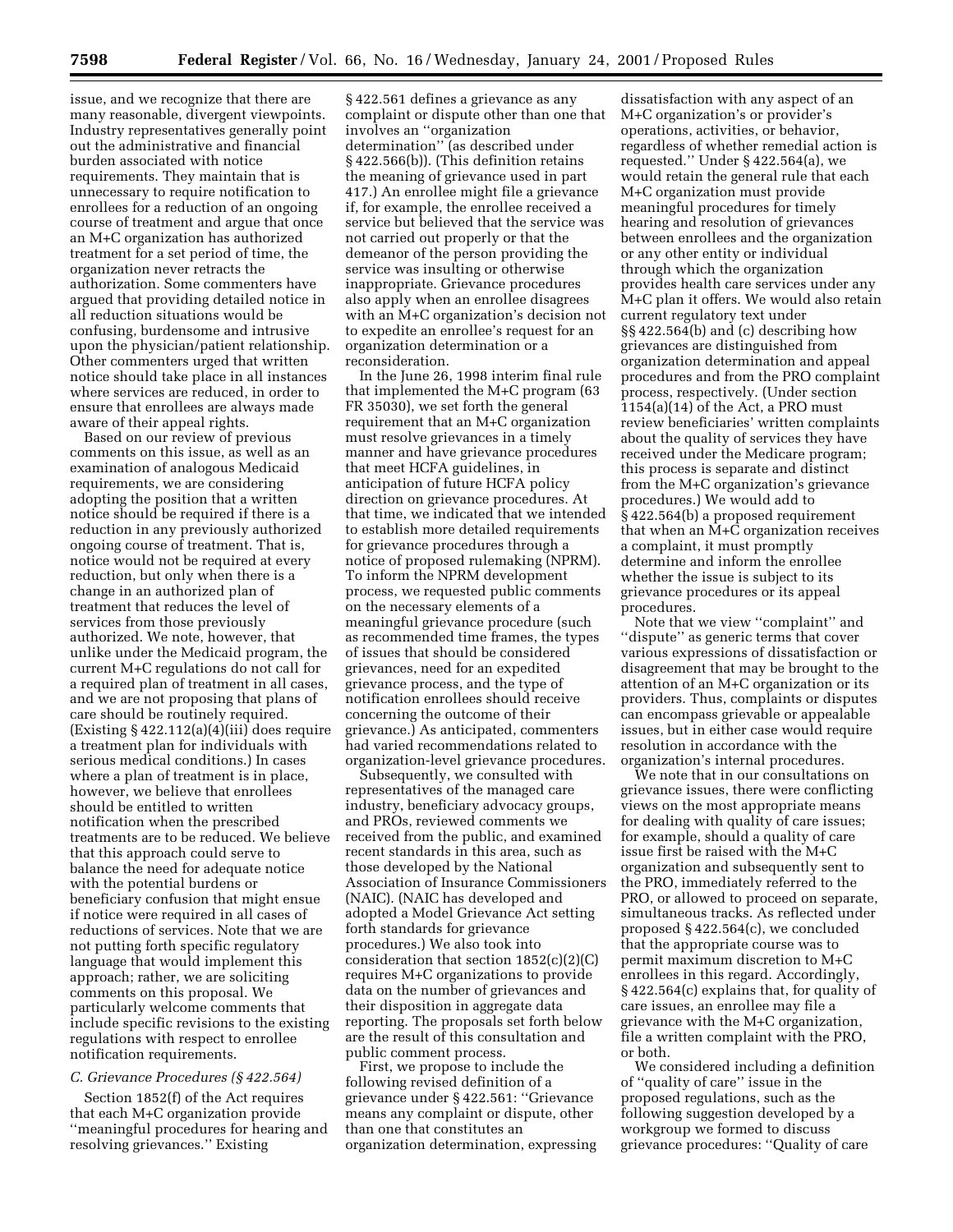issue, and we recognize that there are many reasonable, divergent viewpoints. Industry representatives generally point out the administrative and financial burden associated with notice requirements. They maintain that is unnecessary to require notification to enrollees for a reduction of an ongoing course of treatment and argue that once an M+C organization has authorized treatment for a set period of time, the organization never retracts the authorization. Some commenters have argued that providing detailed notice in all reduction situations would be confusing, burdensome and intrusive upon the physician/patient relationship. Other commenters urged that written notice should take place in all instances where services are reduced, in order to ensure that enrollees are always made aware of their appeal rights.

Based on our review of previous comments on this issue, as well as an examination of analogous Medicaid requirements, we are considering adopting the position that a written notice should be required if there is a reduction in any previously authorized ongoing course of treatment. That is, notice would not be required at every reduction, but only when there is a change in an authorized plan of treatment that reduces the level of services from those previously authorized. We note, however, that unlike under the Medicaid program, the current M+C regulations do not call for a required plan of treatment in all cases, and we are not proposing that plans of care should be routinely required.  $\text{Existing } \S 422.112(a)(4)(iii)$  does require a treatment plan for individuals with serious medical conditions.) In cases where a plan of treatment is in place, however, we believe that enrollees should be entitled to written notification when the prescribed treatments are to be reduced. We believe that this approach could serve to balance the need for adequate notice with the potential burdens or beneficiary confusion that might ensue if notice were required in all cases of reductions of services. Note that we are not putting forth specific regulatory language that would implement this approach; rather, we are soliciting comments on this proposal. We particularly welcome comments that include specific revisions to the existing regulations with respect to enrollee notification requirements.

## *C. Grievance Procedures (§ 422.564)*

Section 1852(f) of the Act requires that each M+C organization provide ''meaningful procedures for hearing and resolving grievances.'' Existing

§ 422.561 defines a grievance as any complaint or dispute other than one that involves an ''organization determination'' (as described under § 422.566(b)). (This definition retains the meaning of grievance used in part 417.) An enrollee might file a grievance if, for example, the enrollee received a service but believed that the service was not carried out properly or that the demeanor of the person providing the service was insulting or otherwise inappropriate. Grievance procedures also apply when an enrollee disagrees with an M+C organization's decision not to expedite an enrollee's request for an organization determination or a reconsideration.

In the June 26, 1998 interim final rule that implemented the M+C program (63 FR 35030), we set forth the general requirement that an M+C organization must resolve grievances in a timely manner and have grievance procedures that meet HCFA guidelines, in anticipation of future HCFA policy direction on grievance procedures. At that time, we indicated that we intended to establish more detailed requirements for grievance procedures through a notice of proposed rulemaking (NPRM). To inform the NPRM development process, we requested public comments on the necessary elements of a meaningful grievance procedure (such as recommended time frames, the types of issues that should be considered grievances, need for an expedited grievance process, and the type of notification enrollees should receive concerning the outcome of their grievance.) As anticipated, commenters had varied recommendations related to organization-level grievance procedures.

Subsequently, we consulted with representatives of the managed care industry, beneficiary advocacy groups, and PROs, reviewed comments we received from the public, and examined recent standards in this area, such as those developed by the National Association of Insurance Commissioners (NAIC). (NAIC has developed and adopted a Model Grievance Act setting forth standards for grievance procedures.) We also took into consideration that section 1852(c)(2)(C) requires M+C organizations to provide data on the number of grievances and their disposition in aggregate data reporting. The proposals set forth below are the result of this consultation and public comment process.

First, we propose to include the following revised definition of a grievance under § 422.561: ''Grievance means any complaint or dispute, other than one that constitutes an organization determination, expressing

dissatisfaction with any aspect of an M+C organization's or provider's operations, activities, or behavior, regardless of whether remedial action is requested.'' Under § 422.564(a), we would retain the general rule that each M+C organization must provide meaningful procedures for timely hearing and resolution of grievances between enrollees and the organization or any other entity or individual through which the organization provides health care services under any M+C plan it offers. We would also retain current regulatory text under §§ 422.564(b) and (c) describing how grievances are distinguished from organization determination and appeal procedures and from the PRO complaint process, respectively. (Under section  $1154(a)(14)$  of the Act, a PRO must review beneficiaries' written complaints about the quality of services they have received under the Medicare program; this process is separate and distinct from the M+C organization's grievance procedures.) We would add to § 422.564(b) a proposed requirement that when an M+C organization receives a complaint, it must promptly determine and inform the enrollee whether the issue is subject to its grievance procedures or its appeal procedures.

Note that we view ''complaint'' and ''dispute'' as generic terms that cover various expressions of dissatisfaction or disagreement that may be brought to the attention of an M+C organization or its providers. Thus, complaints or disputes can encompass grievable or appealable issues, but in either case would require resolution in accordance with the organization's internal procedures.

We note that in our consultations on grievance issues, there were conflicting views on the most appropriate means for dealing with quality of care issues; for example, should a quality of care issue first be raised with the M+C organization and subsequently sent to the PRO, immediately referred to the PRO, or allowed to proceed on separate, simultaneous tracks. As reflected under proposed § 422.564(c), we concluded that the appropriate course was to permit maximum discretion to M+C enrollees in this regard. Accordingly, § 422.564(c) explains that, for quality of care issues, an enrollee may file a grievance with the M+C organization, file a written complaint with the PRO, or both.

We considered including a definition of ''quality of care'' issue in the proposed regulations, such as the following suggestion developed by a workgroup we formed to discuss grievance procedures: ''Quality of care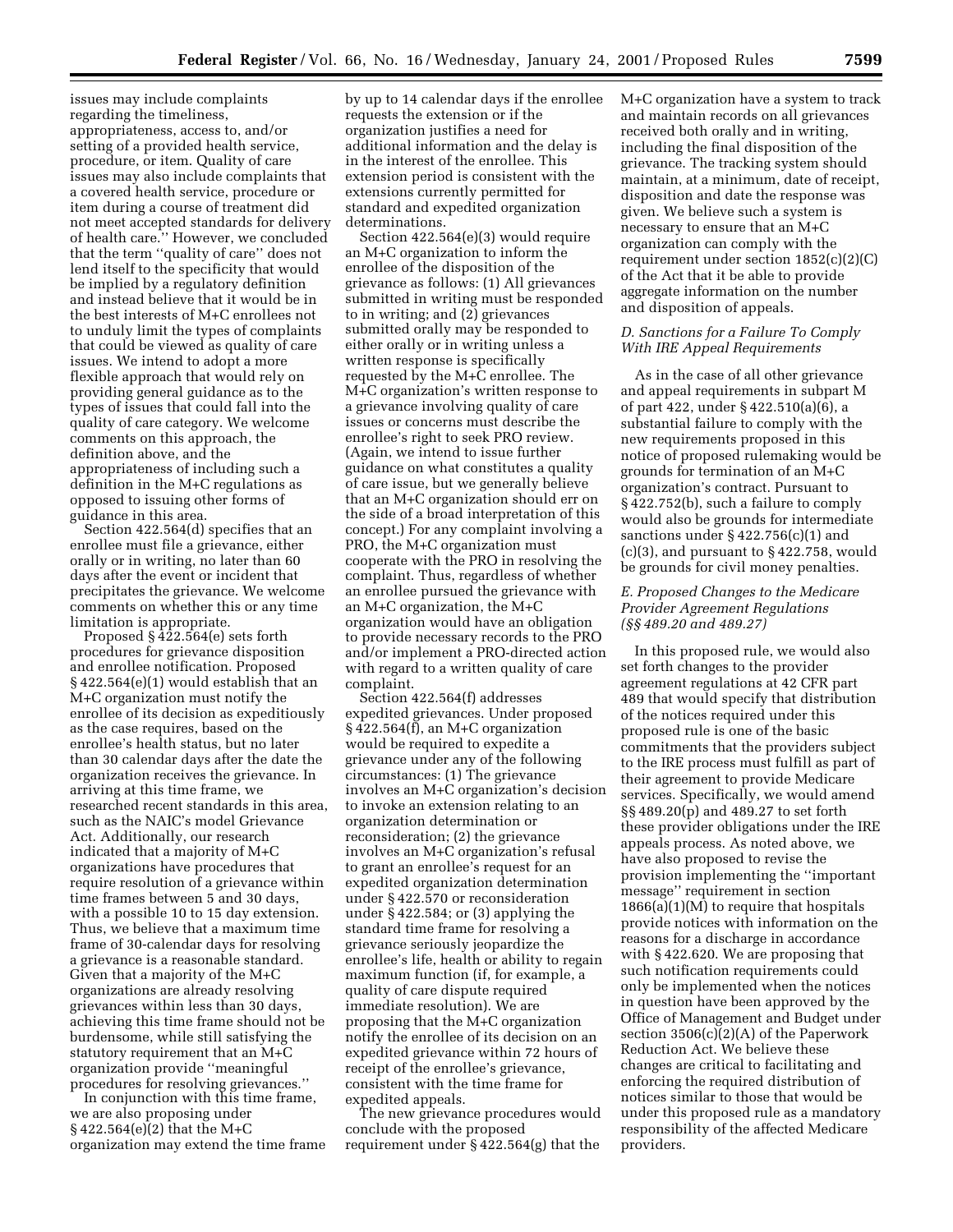issues may include complaints regarding the timeliness, appropriateness, access to, and/or setting of a provided health service, procedure, or item. Quality of care issues may also include complaints that a covered health service, procedure or item during a course of treatment did not meet accepted standards for delivery of health care.'' However, we concluded that the term ''quality of care'' does not lend itself to the specificity that would be implied by a regulatory definition and instead believe that it would be in the best interests of M+C enrollees not to unduly limit the types of complaints that could be viewed as quality of care issues. We intend to adopt a more flexible approach that would rely on providing general guidance as to the types of issues that could fall into the quality of care category. We welcome comments on this approach, the definition above, and the appropriateness of including such a definition in the M+C regulations as opposed to issuing other forms of guidance in this area.

Section 422.564(d) specifies that an enrollee must file a grievance, either orally or in writing, no later than 60 days after the event or incident that precipitates the grievance. We welcome comments on whether this or any time limitation is appropriate.

Proposed § 422.564(e) sets forth procedures for grievance disposition and enrollee notification. Proposed § 422.564(e)(1) would establish that an M+C organization must notify the enrollee of its decision as expeditiously as the case requires, based on the enrollee's health status, but no later than 30 calendar days after the date the organization receives the grievance. In arriving at this time frame, we researched recent standards in this area, such as the NAIC's model Grievance Act. Additionally, our research indicated that a majority of M+C organizations have procedures that require resolution of a grievance within time frames between 5 and 30 days, with a possible 10 to 15 day extension. Thus, we believe that a maximum time frame of 30-calendar days for resolving a grievance is a reasonable standard. Given that a majority of the M+C organizations are already resolving grievances within less than 30 days, achieving this time frame should not be burdensome, while still satisfying the statutory requirement that an M+C organization provide ''meaningful procedures for resolving grievances.''

In conjunction with this time frame, we are also proposing under § 422.564(e)(2) that the M+C organization may extend the time frame by up to 14 calendar days if the enrollee requests the extension or if the organization justifies a need for additional information and the delay is in the interest of the enrollee. This extension period is consistent with the extensions currently permitted for standard and expedited organization determinations.

Section 422.564(e)(3) would require an M+C organization to inform the enrollee of the disposition of the grievance as follows: (1) All grievances submitted in writing must be responded to in writing; and (2) grievances submitted orally may be responded to either orally or in writing unless a written response is specifically requested by the M+C enrollee. The M+C organization's written response to a grievance involving quality of care issues or concerns must describe the enrollee's right to seek PRO review. (Again, we intend to issue further guidance on what constitutes a quality of care issue, but we generally believe that an M+C organization should err on the side of a broad interpretation of this concept.) For any complaint involving a PRO, the M+C organization must cooperate with the PRO in resolving the complaint. Thus, regardless of whether an enrollee pursued the grievance with an M+C organization, the M+C organization would have an obligation to provide necessary records to the PRO and/or implement a PRO-directed action with regard to a written quality of care complaint.

Section 422.564(f) addresses expedited grievances. Under proposed § 422.564(f), an M+C organization would be required to expedite a grievance under any of the following circumstances: (1) The grievance involves an M+C organization's decision to invoke an extension relating to an organization determination or reconsideration; (2) the grievance involves an M+C organization's refusal to grant an enrollee's request for an expedited organization determination under § 422.570 or reconsideration under § 422.584; or (3) applying the standard time frame for resolving a grievance seriously jeopardize the enrollee's life, health or ability to regain maximum function (if, for example, a quality of care dispute required immediate resolution). We are proposing that the M+C organization notify the enrollee of its decision on an expedited grievance within 72 hours of receipt of the enrollee's grievance, consistent with the time frame for expedited appeals.

The new grievance procedures would conclude with the proposed requirement under § 422.564(g) that the

M+C organization have a system to track and maintain records on all grievances received both orally and in writing, including the final disposition of the grievance. The tracking system should maintain, at a minimum, date of receipt, disposition and date the response was given. We believe such a system is necessary to ensure that an M+C organization can comply with the requirement under section 1852(c)(2)(C) of the Act that it be able to provide aggregate information on the number and disposition of appeals.

## *D. Sanctions for a Failure To Comply With IRE Appeal Requirements*

As in the case of all other grievance and appeal requirements in subpart M of part 422, under § 422.510(a)(6), a substantial failure to comply with the new requirements proposed in this notice of proposed rulemaking would be grounds for termination of an M+C organization's contract. Pursuant to § 422.752(b), such a failure to comply would also be grounds for intermediate sanctions under  $\S 422.756(c)(1)$  and  $(c)(3)$ , and pursuant to  $\S 422.758$ , would be grounds for civil money penalties.

## *E. Proposed Changes to the Medicare Provider Agreement Regulations (§§ 489.20 and 489.27)*

In this proposed rule, we would also set forth changes to the provider agreement regulations at 42 CFR part 489 that would specify that distribution of the notices required under this proposed rule is one of the basic commitments that the providers subject to the IRE process must fulfill as part of their agreement to provide Medicare services. Specifically, we would amend §§ 489.20(p) and 489.27 to set forth these provider obligations under the IRE appeals process. As noted above, we have also proposed to revise the provision implementing the ''important message'' requirement in section 1866(a)(1)(M) to require that hospitals provide notices with information on the reasons for a discharge in accordance with § 422.620. We are proposing that such notification requirements could only be implemented when the notices in question have been approved by the Office of Management and Budget under section 3506(c)(2)(A) of the Paperwork Reduction Act. We believe these changes are critical to facilitating and enforcing the required distribution of notices similar to those that would be under this proposed rule as a mandatory responsibility of the affected Medicare providers.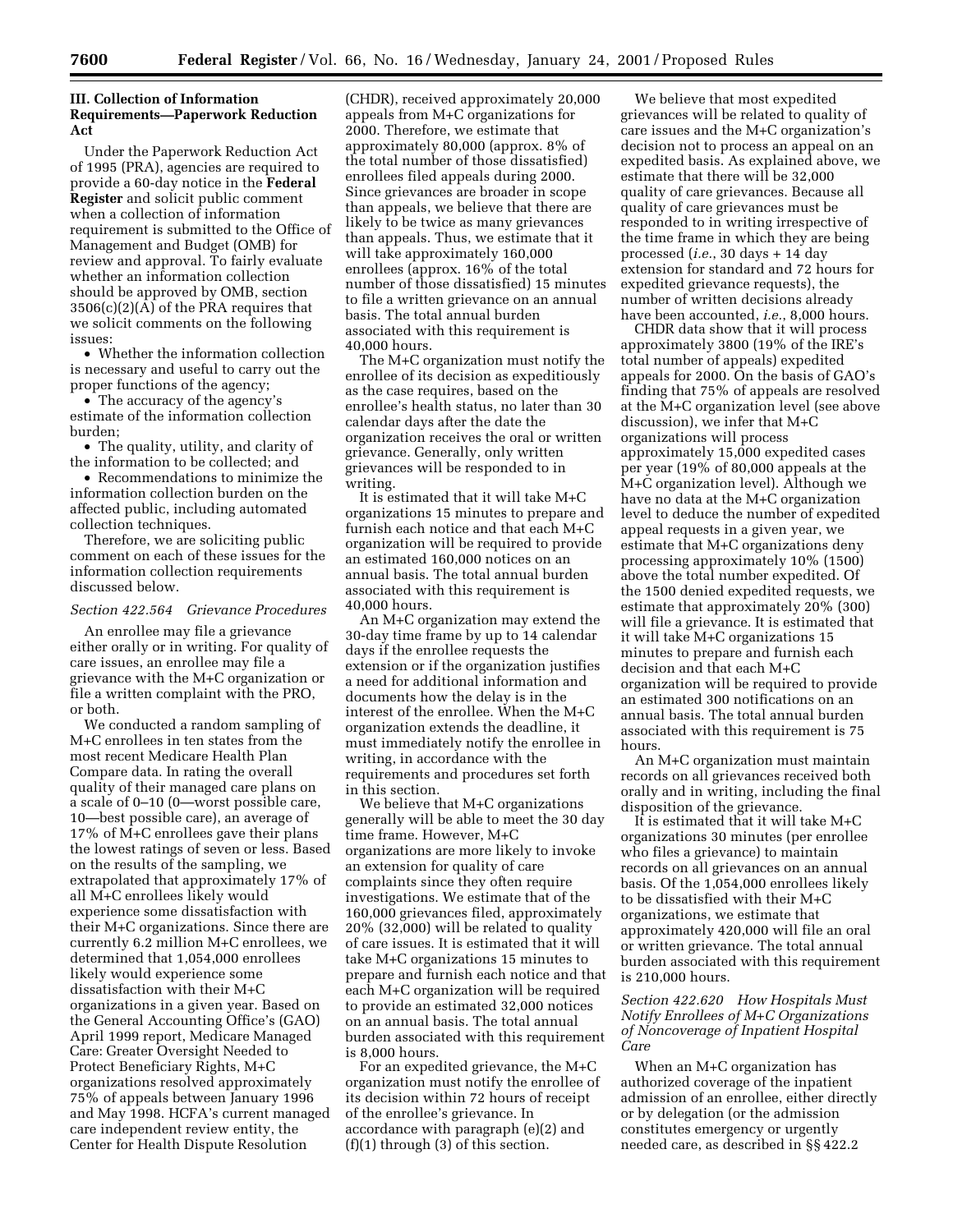## **III. Collection of Information Requirements—Paperwork Reduction Act**

Under the Paperwork Reduction Act of 1995 (PRA), agencies are required to provide a 60-day notice in the **Federal Register** and solicit public comment when a collection of information requirement is submitted to the Office of Management and Budget (OMB) for review and approval. To fairly evaluate whether an information collection should be approved by OMB, section 3506(c)(2)(A) of the PRA requires that we solicit comments on the following issues:

• Whether the information collection is necessary and useful to carry out the proper functions of the agency;

• The accuracy of the agency's estimate of the information collection burden;

• The quality, utility, and clarity of the information to be collected; and

• Recommendations to minimize the information collection burden on the affected public, including automated collection techniques.

Therefore, we are soliciting public comment on each of these issues for the information collection requirements discussed below.

#### *Section 422.564 Grievance Procedures*

An enrollee may file a grievance either orally or in writing. For quality of care issues, an enrollee may file a grievance with the M+C organization or file a written complaint with the PRO, or both.

We conducted a random sampling of M+C enrollees in ten states from the most recent Medicare Health Plan Compare data. In rating the overall quality of their managed care plans on a scale of 0–10 (0—worst possible care, 10—best possible care), an average of 17% of M+C enrollees gave their plans the lowest ratings of seven or less. Based on the results of the sampling, we extrapolated that approximately 17% of all M+C enrollees likely would experience some dissatisfaction with their M+C organizations. Since there are currently 6.2 million M+C enrollees, we determined that 1,054,000 enrollees likely would experience some dissatisfaction with their M+C organizations in a given year. Based on the General Accounting Office's (GAO) April 1999 report, Medicare Managed Care: Greater Oversight Needed to Protect Beneficiary Rights, M+C organizations resolved approximately 75% of appeals between January 1996 and May 1998. HCFA's current managed care independent review entity, the Center for Health Dispute Resolution

(CHDR), received approximately 20,000 appeals from M+C organizations for 2000. Therefore, we estimate that approximately 80,000 (approx. 8% of the total number of those dissatisfied) enrollees filed appeals during 2000. Since grievances are broader in scope than appeals, we believe that there are likely to be twice as many grievances than appeals. Thus, we estimate that it will take approximately 160,000 enrollees (approx. 16% of the total number of those dissatisfied) 15 minutes to file a written grievance on an annual basis. The total annual burden associated with this requirement is 40,000 hours.

The M+C organization must notify the enrollee of its decision as expeditiously as the case requires, based on the enrollee's health status, no later than 30 calendar days after the date the organization receives the oral or written grievance. Generally, only written grievances will be responded to in writing.

It is estimated that it will take M+C organizations 15 minutes to prepare and furnish each notice and that each M+C organization will be required to provide an estimated 160,000 notices on an annual basis. The total annual burden associated with this requirement is 40,000 hours.

An M+C organization may extend the 30-day time frame by up to 14 calendar days if the enrollee requests the extension or if the organization justifies a need for additional information and documents how the delay is in the interest of the enrollee. When the M+C organization extends the deadline, it must immediately notify the enrollee in writing, in accordance with the requirements and procedures set forth in this section.

We believe that M+C organizations generally will be able to meet the 30 day time frame. However, M+C organizations are more likely to invoke an extension for quality of care complaints since they often require investigations. We estimate that of the 160,000 grievances filed, approximately 20% (32,000) will be related to quality of care issues. It is estimated that it will take M+C organizations 15 minutes to prepare and furnish each notice and that each M+C organization will be required to provide an estimated 32,000 notices on an annual basis. The total annual burden associated with this requirement is 8,000 hours.

For an expedited grievance, the M+C organization must notify the enrollee of its decision within 72 hours of receipt of the enrollee's grievance. In accordance with paragraph (e)(2) and  $(f)(1)$  through  $(3)$  of this section.

We believe that most expedited grievances will be related to quality of care issues and the M+C organization's decision not to process an appeal on an expedited basis. As explained above, we estimate that there will be 32,000 quality of care grievances. Because all quality of care grievances must be responded to in writing irrespective of the time frame in which they are being processed (*i.e.*, 30 days + 14 day extension for standard and 72 hours for expedited grievance requests), the number of written decisions already have been accounted, *i.e.*, 8,000 hours.

CHDR data show that it will process approximately 3800 (19% of the IRE's total number of appeals) expedited appeals for 2000. On the basis of GAO's finding that 75% of appeals are resolved at the M+C organization level (see above discussion), we infer that M+C organizations will process approximately 15,000 expedited cases per year (19% of 80,000 appeals at the M+C organization level). Although we have no data at the M+C organization level to deduce the number of expedited appeal requests in a given year, we estimate that M+C organizations deny processing approximately 10% (1500) above the total number expedited. Of the 1500 denied expedited requests, we estimate that approximately 20% (300) will file a grievance. It is estimated that it will take M+C organizations 15 minutes to prepare and furnish each decision and that each M+C organization will be required to provide an estimated 300 notifications on an annual basis. The total annual burden associated with this requirement is 75 hours.

An M+C organization must maintain records on all grievances received both orally and in writing, including the final disposition of the grievance.

It is estimated that it will take M+C organizations 30 minutes (per enrollee who files a grievance) to maintain records on all grievances on an annual basis. Of the 1,054,000 enrollees likely to be dissatisfied with their M+C organizations, we estimate that approximately 420,000 will file an oral or written grievance. The total annual burden associated with this requirement is 210,000 hours.

## *Section 422.620 How Hospitals Must Notify Enrollees of M+C Organizations of Noncoverage of Inpatient Hospital Care*

When an M+C organization has authorized coverage of the inpatient admission of an enrollee, either directly or by delegation (or the admission constitutes emergency or urgently needed care, as described in §§ 422.2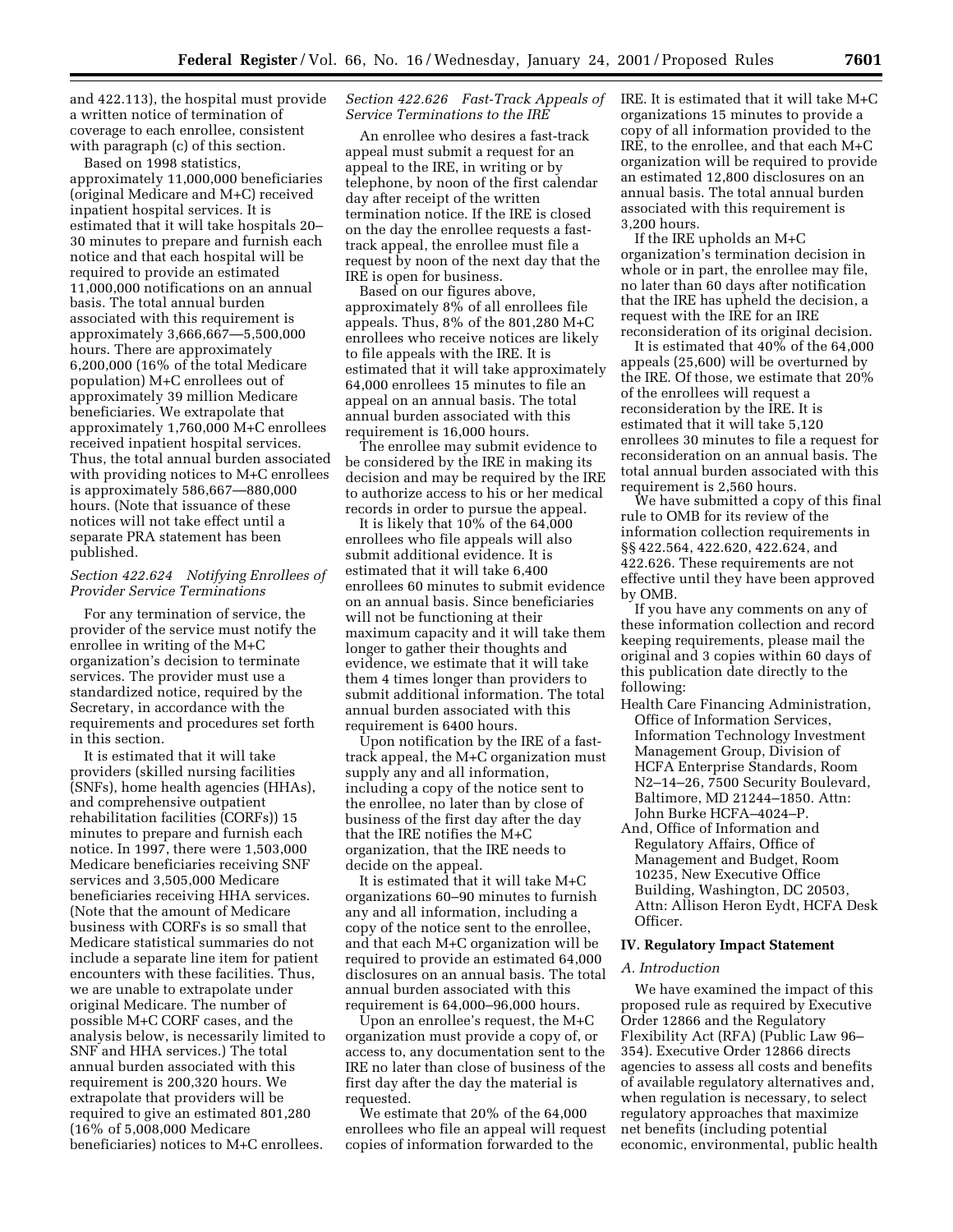and 422.113), the hospital must provide a written notice of termination of coverage to each enrollee, consistent with paragraph (c) of this section.

Based on 1998 statistics, approximately 11,000,000 beneficiaries (original Medicare and M+C) received inpatient hospital services. It is estimated that it will take hospitals 20– 30 minutes to prepare and furnish each notice and that each hospital will be required to provide an estimated 11,000,000 notifications on an annual basis. The total annual burden associated with this requirement is approximately 3,666,667—5,500,000 hours. There are approximately 6,200,000 (16% of the total Medicare population) M+C enrollees out of approximately 39 million Medicare beneficiaries. We extrapolate that approximately 1,760,000 M+C enrollees received inpatient hospital services. Thus, the total annual burden associated with providing notices to M+C enrollees is approximately 586,667—880,000 hours. (Note that issuance of these notices will not take effect until a separate PRA statement has been published.

## *Section 422.624 Notifying Enrollees of Provider Service Terminations*

For any termination of service, the provider of the service must notify the enrollee in writing of the M+C organization's decision to terminate services. The provider must use a standardized notice, required by the Secretary, in accordance with the requirements and procedures set forth in this section.

It is estimated that it will take providers (skilled nursing facilities (SNFs), home health agencies (HHAs), and comprehensive outpatient rehabilitation facilities (CORFs)) 15 minutes to prepare and furnish each notice. In 1997, there were 1,503,000 Medicare beneficiaries receiving SNF services and 3,505,000 Medicare beneficiaries receiving HHA services. (Note that the amount of Medicare business with CORFs is so small that Medicare statistical summaries do not include a separate line item for patient encounters with these facilities. Thus, we are unable to extrapolate under original Medicare. The number of possible M+C CORF cases, and the analysis below, is necessarily limited to SNF and HHA services.) The total annual burden associated with this requirement is 200,320 hours. We extrapolate that providers will be required to give an estimated 801,280 (16% of 5,008,000 Medicare beneficiaries) notices to M+C enrollees.

### *Section 422.626 Fast-Track Appeals of Service Terminations to the IRE*

An enrollee who desires a fast-track appeal must submit a request for an appeal to the IRE, in writing or by telephone, by noon of the first calendar day after receipt of the written termination notice. If the IRE is closed on the day the enrollee requests a fasttrack appeal, the enrollee must file a request by noon of the next day that the IRE is open for business.

Based on our figures above, approximately 8% of all enrollees file appeals. Thus, 8% of the 801,280 M+C enrollees who receive notices are likely to file appeals with the IRE. It is estimated that it will take approximately 64,000 enrollees 15 minutes to file an appeal on an annual basis. The total annual burden associated with this requirement is 16,000 hours.

The enrollee may submit evidence to be considered by the IRE in making its decision and may be required by the IRE to authorize access to his or her medical records in order to pursue the appeal.

It is likely that 10% of the 64,000 enrollees who file appeals will also submit additional evidence. It is estimated that it will take 6,400 enrollees 60 minutes to submit evidence on an annual basis. Since beneficiaries will not be functioning at their maximum capacity and it will take them longer to gather their thoughts and evidence, we estimate that it will take them 4 times longer than providers to submit additional information. The total annual burden associated with this requirement is 6400 hours.

Upon notification by the IRE of a fasttrack appeal, the M+C organization must supply any and all information, including a copy of the notice sent to the enrollee, no later than by close of business of the first day after the day that the IRE notifies the M+C organization, that the IRE needs to decide on the appeal.

It is estimated that it will take M+C organizations 60–90 minutes to furnish any and all information, including a copy of the notice sent to the enrollee, and that each M+C organization will be required to provide an estimated 64,000 disclosures on an annual basis. The total annual burden associated with this requirement is 64,000–96,000 hours.

Upon an enrollee's request, the M+C organization must provide a copy of, or access to, any documentation sent to the IRE no later than close of business of the first day after the day the material is requested.

We estimate that 20% of the 64,000 enrollees who file an appeal will request copies of information forwarded to the

IRE. It is estimated that it will take M+C organizations 15 minutes to provide a copy of all information provided to the IRE, to the enrollee, and that each M+C organization will be required to provide an estimated 12,800 disclosures on an annual basis. The total annual burden associated with this requirement is 3,200 hours.

If the IRE upholds an M+C organization's termination decision in whole or in part, the enrollee may file, no later than 60 days after notification that the IRE has upheld the decision, a request with the IRE for an IRE reconsideration of its original decision.

It is estimated that 40% of the 64,000 appeals (25,600) will be overturned by the IRE. Of those, we estimate that 20% of the enrollees will request a reconsideration by the IRE. It is estimated that it will take 5,120 enrollees 30 minutes to file a request for reconsideration on an annual basis. The total annual burden associated with this requirement is 2,560 hours.

We have submitted a copy of this final rule to OMB for its review of the information collection requirements in §§ 422.564, 422.620, 422.624, and 422.626. These requirements are not effective until they have been approved by OMB.

If you have any comments on any of these information collection and record keeping requirements, please mail the original and 3 copies within 60 days of this publication date directly to the following:

- Health Care Financing Administration, Office of Information Services, Information Technology Investment Management Group, Division of HCFA Enterprise Standards, Room N2–14–26, 7500 Security Boulevard, Baltimore, MD 21244–1850. Attn: John Burke HCFA–4024–P.
- And, Office of Information and Regulatory Affairs, Office of Management and Budget, Room 10235, New Executive Office Building, Washington, DC 20503, Attn: Allison Heron Eydt, HCFA Desk Officer.

## **IV. Regulatory Impact Statement**

### *A. Introduction*

We have examined the impact of this proposed rule as required by Executive Order 12866 and the Regulatory Flexibility Act (RFA) (Public Law 96– 354). Executive Order 12866 directs agencies to assess all costs and benefits of available regulatory alternatives and, when regulation is necessary, to select regulatory approaches that maximize net benefits (including potential economic, environmental, public health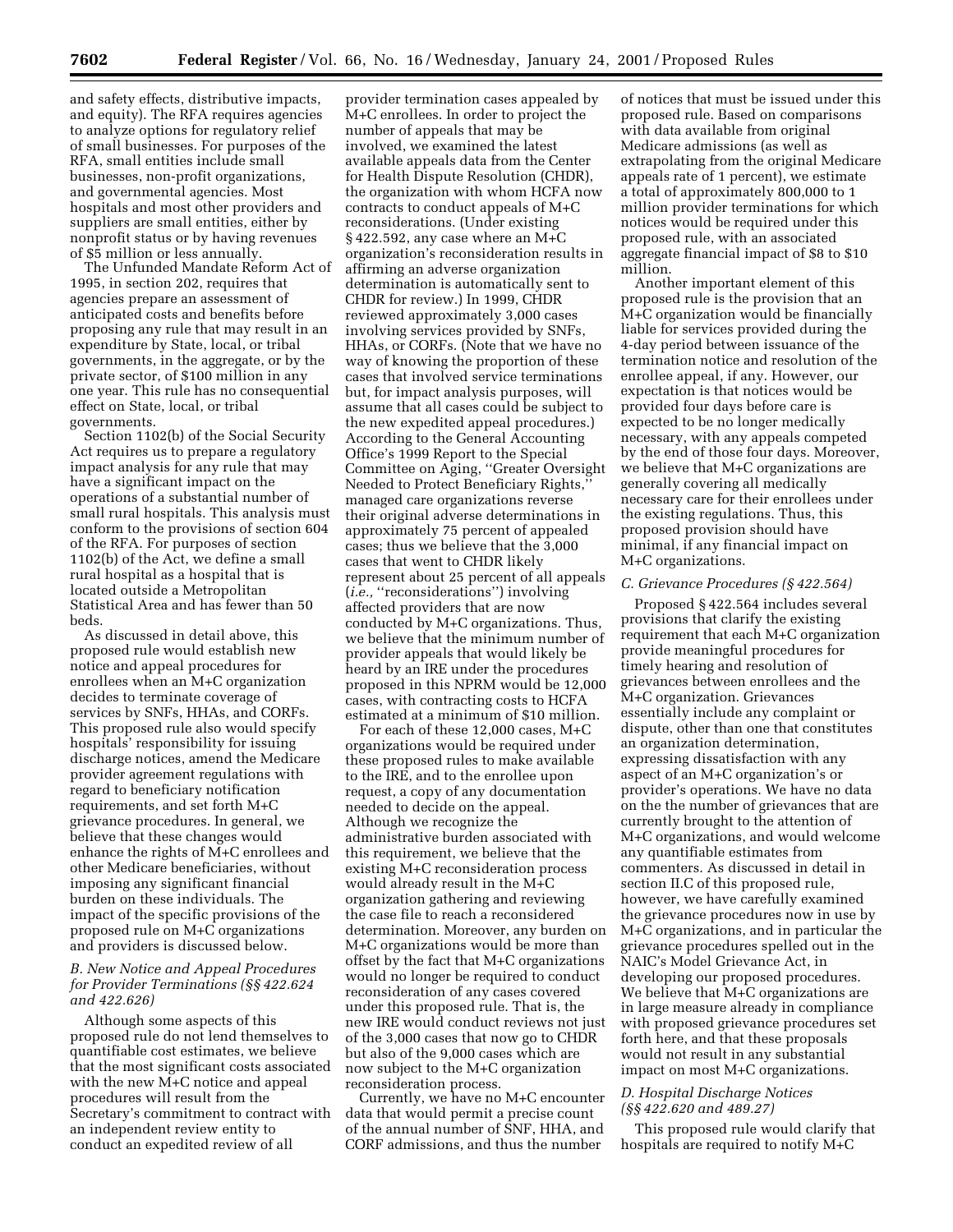and safety effects, distributive impacts, and equity). The RFA requires agencies to analyze options for regulatory relief of small businesses. For purposes of the RFA, small entities include small businesses, non-profit organizations, and governmental agencies. Most hospitals and most other providers and suppliers are small entities, either by nonprofit status or by having revenues of \$5 million or less annually.

The Unfunded Mandate Reform Act of 1995, in section 202, requires that agencies prepare an assessment of anticipated costs and benefits before proposing any rule that may result in an expenditure by State, local, or tribal governments, in the aggregate, or by the private sector, of \$100 million in any one year. This rule has no consequential effect on State, local, or tribal governments.

Section 1102(b) of the Social Security Act requires us to prepare a regulatory impact analysis for any rule that may have a significant impact on the operations of a substantial number of small rural hospitals. This analysis must conform to the provisions of section 604 of the RFA. For purposes of section 1102(b) of the Act, we define a small rural hospital as a hospital that is located outside a Metropolitan Statistical Area and has fewer than 50 beds.

As discussed in detail above, this proposed rule would establish new notice and appeal procedures for enrollees when an M+C organization decides to terminate coverage of services by SNFs, HHAs, and CORFs. This proposed rule also would specify hospitals' responsibility for issuing discharge notices, amend the Medicare provider agreement regulations with regard to beneficiary notification requirements, and set forth M+C grievance procedures. In general, we believe that these changes would enhance the rights of M+C enrollees and other Medicare beneficiaries, without imposing any significant financial burden on these individuals. The impact of the specific provisions of the proposed rule on M+C organizations and providers is discussed below.

## *B. New Notice and Appeal Procedures for Provider Terminations (§§ 422.624 and 422.626)*

Although some aspects of this proposed rule do not lend themselves to quantifiable cost estimates, we believe that the most significant costs associated with the new M+C notice and appeal procedures will result from the Secretary's commitment to contract with an independent review entity to conduct an expedited review of all

provider termination cases appealed by M+C enrollees. In order to project the number of appeals that may be involved, we examined the latest available appeals data from the Center for Health Dispute Resolution (CHDR), the organization with whom HCFA now contracts to conduct appeals of M+C reconsiderations. (Under existing § 422.592, any case where an M+C organization's reconsideration results in affirming an adverse organization determination is automatically sent to CHDR for review.) In 1999, CHDR reviewed approximately 3,000 cases involving services provided by SNFs, HHAs, or CORFs. (Note that we have no way of knowing the proportion of these cases that involved service terminations but, for impact analysis purposes, will assume that all cases could be subject to the new expedited appeal procedures.) According to the General Accounting Office's 1999 Report to the Special Committee on Aging, ''Greater Oversight Needed to Protect Beneficiary Rights,'' managed care organizations reverse their original adverse determinations in approximately 75 percent of appealed cases; thus we believe that the 3,000 cases that went to CHDR likely represent about 25 percent of all appeals (*i.e.,* ''reconsiderations'') involving affected providers that are now conducted by M+C organizations. Thus, we believe that the minimum number of provider appeals that would likely be heard by an IRE under the procedures proposed in this NPRM would be 12,000 cases, with contracting costs to HCFA estimated at a minimum of \$10 million.

For each of these 12,000 cases, M+C organizations would be required under these proposed rules to make available to the IRE, and to the enrollee upon request, a copy of any documentation needed to decide on the appeal. Although we recognize the administrative burden associated with this requirement, we believe that the existing M+C reconsideration process would already result in the M+C organization gathering and reviewing the case file to reach a reconsidered determination. Moreover, any burden on M+C organizations would be more than offset by the fact that M+C organizations would no longer be required to conduct reconsideration of any cases covered under this proposed rule. That is, the new IRE would conduct reviews not just of the 3,000 cases that now go to CHDR but also of the 9,000 cases which are now subject to the M+C organization reconsideration process.

Currently, we have no M+C encounter data that would permit a precise count of the annual number of SNF, HHA, and CORF admissions, and thus the number

of notices that must be issued under this proposed rule. Based on comparisons with data available from original Medicare admissions (as well as extrapolating from the original Medicare appeals rate of 1 percent), we estimate a total of approximately 800,000 to 1 million provider terminations for which notices would be required under this proposed rule, with an associated aggregate financial impact of \$8 to \$10 million.

Another important element of this proposed rule is the provision that an M+C organization would be financially liable for services provided during the 4-day period between issuance of the termination notice and resolution of the enrollee appeal, if any. However, our expectation is that notices would be provided four days before care is expected to be no longer medically necessary, with any appeals competed by the end of those four days. Moreover, we believe that M+C organizations are generally covering all medically necessary care for their enrollees under the existing regulations. Thus, this proposed provision should have minimal, if any financial impact on M+C organizations.

#### *C. Grievance Procedures (§ 422.564)*

Proposed § 422.564 includes several provisions that clarify the existing requirement that each M+C organization provide meaningful procedures for timely hearing and resolution of grievances between enrollees and the M+C organization. Grievances essentially include any complaint or dispute, other than one that constitutes an organization determination, expressing dissatisfaction with any aspect of an M+C organization's or provider's operations. We have no data on the the number of grievances that are currently brought to the attention of M+C organizations, and would welcome any quantifiable estimates from commenters. As discussed in detail in section II.C of this proposed rule, however, we have carefully examined the grievance procedures now in use by M+C organizations, and in particular the grievance procedures spelled out in the NAIC's Model Grievance Act, in developing our proposed procedures. We believe that M+C organizations are in large measure already in compliance with proposed grievance procedures set forth here, and that these proposals would not result in any substantial impact on most M+C organizations.

### *D. Hospital Discharge Notices (§§ 422.620 and 489.27)*

This proposed rule would clarify that hospitals are required to notify M+C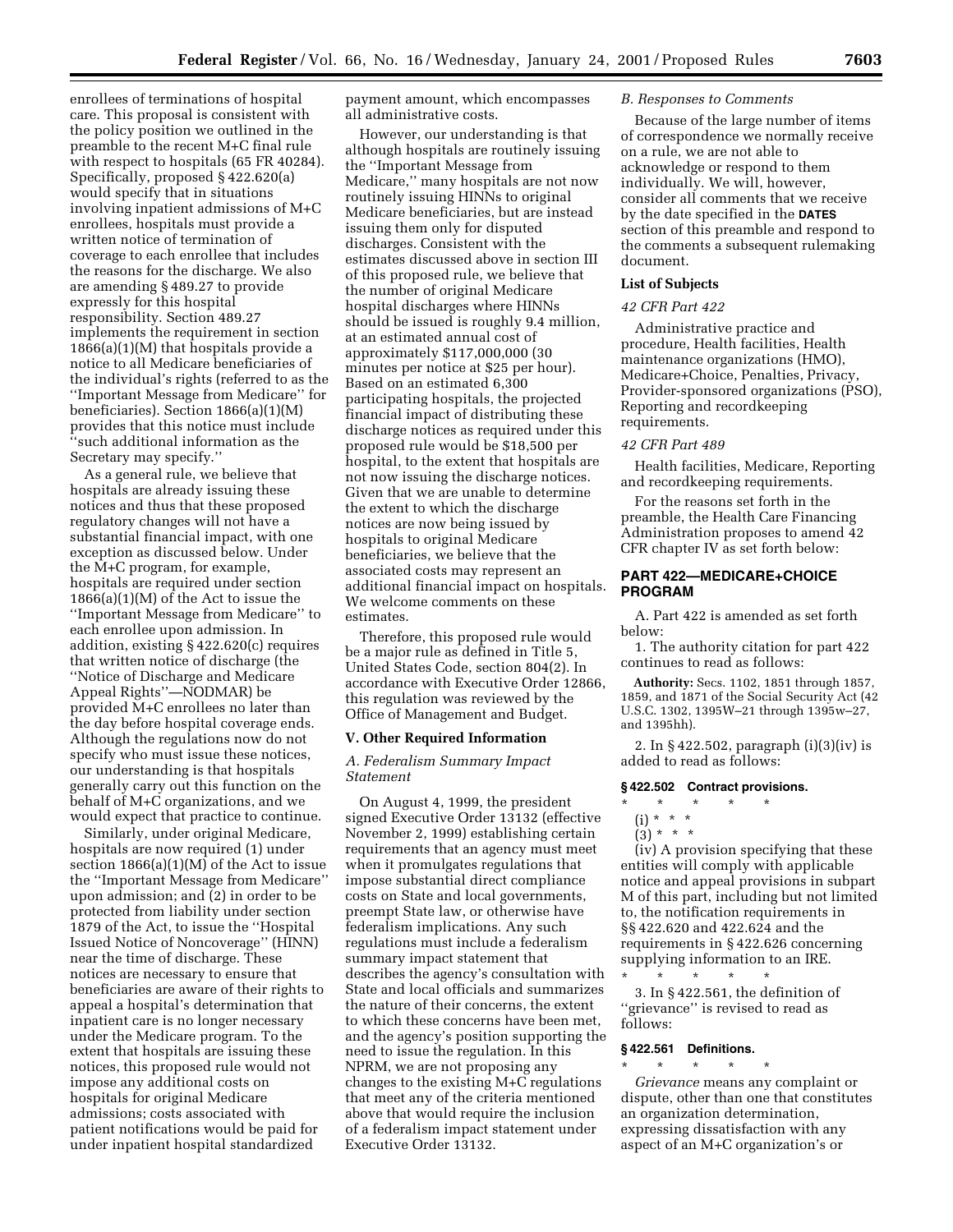enrollees of terminations of hospital care. This proposal is consistent with the policy position we outlined in the preamble to the recent M+C final rule with respect to hospitals (65 FR 40284). Specifically, proposed § 422.620(a) would specify that in situations involving inpatient admissions of M+C enrollees, hospitals must provide a written notice of termination of coverage to each enrollee that includes the reasons for the discharge. We also are amending § 489.27 to provide expressly for this hospital responsibility. Section 489.27 implements the requirement in section  $1866(a)(1)(M)$  that hospitals provide a notice to all Medicare beneficiaries of the individual's rights (referred to as the ''Important Message from Medicare'' for beneficiaries). Section 1866(a)(1)(M) provides that this notice must include ''such additional information as the Secretary may specify.''

As a general rule, we believe that hospitals are already issuing these notices and thus that these proposed regulatory changes will not have a substantial financial impact, with one exception as discussed below. Under the M+C program, for example, hospitals are required under section 1866(a)(1)(M) of the Act to issue the ''Important Message from Medicare'' to each enrollee upon admission. In addition, existing § 422.620(c) requires that written notice of discharge (the ''Notice of Discharge and Medicare Appeal Rights''—NODMAR) be provided M+C enrollees no later than the day before hospital coverage ends. Although the regulations now do not specify who must issue these notices, our understanding is that hospitals generally carry out this function on the behalf of M+C organizations, and we would expect that practice to continue.

Similarly, under original Medicare, hospitals are now required (1) under section 1866(a)(1)(M) of the Act to issue the ''Important Message from Medicare'' upon admission; and  $(2)$  in order to be protected from liability under section 1879 of the Act, to issue the ''Hospital Issued Notice of Noncoverage'' (HINN) near the time of discharge. These notices are necessary to ensure that beneficiaries are aware of their rights to appeal a hospital's determination that inpatient care is no longer necessary under the Medicare program. To the extent that hospitals are issuing these notices, this proposed rule would not impose any additional costs on hospitals for original Medicare admissions; costs associated with patient notifications would be paid for under inpatient hospital standardized

payment amount, which encompasses all administrative costs.

However, our understanding is that although hospitals are routinely issuing the ''Important Message from Medicare,'' many hospitals are not now routinely issuing HINNs to original Medicare beneficiaries, but are instead issuing them only for disputed discharges. Consistent with the estimates discussed above in section III of this proposed rule, we believe that the number of original Medicare hospital discharges where HINNs should be issued is roughly 9.4 million, at an estimated annual cost of approximately \$117,000,000 (30 minutes per notice at \$25 per hour). Based on an estimated 6,300 participating hospitals, the projected financial impact of distributing these discharge notices as required under this proposed rule would be \$18,500 per hospital, to the extent that hospitals are not now issuing the discharge notices. Given that we are unable to determine the extent to which the discharge notices are now being issued by hospitals to original Medicare beneficiaries, we believe that the associated costs may represent an additional financial impact on hospitals. We welcome comments on these estimates.

Therefore, this proposed rule would be a major rule as defined in Title 5, United States Code, section 804(2). In accordance with Executive Order 12866, this regulation was reviewed by the Office of Management and Budget.

#### **V. Other Required Information**

### *A. Federalism Summary Impact Statement*

On August 4, 1999, the president signed Executive Order 13132 (effective November 2, 1999) establishing certain requirements that an agency must meet when it promulgates regulations that impose substantial direct compliance costs on State and local governments, preempt State law, or otherwise have federalism implications. Any such regulations must include a federalism summary impact statement that describes the agency's consultation with State and local officials and summarizes the nature of their concerns, the extent to which these concerns have been met, and the agency's position supporting the need to issue the regulation. In this NPRM, we are not proposing any changes to the existing M+C regulations that meet any of the criteria mentioned above that would require the inclusion of a federalism impact statement under Executive Order 13132.

#### *B. Responses to Comments*

Because of the large number of items of correspondence we normally receive on a rule, we are not able to acknowledge or respond to them individually. We will, however, consider all comments that we receive by the date specified in the **DATES** section of this preamble and respond to the comments a subsequent rulemaking document.

### **List of Subjects**

#### *42 CFR Part 422*

Administrative practice and procedure, Health facilities, Health maintenance organizations (HMO), Medicare+Choice, Penalties, Privacy, Provider-sponsored organizations (PSO), Reporting and recordkeeping requirements.

#### *42 CFR Part 489*

Health facilities, Medicare, Reporting and recordkeeping requirements.

For the reasons set forth in the preamble, the Health Care Financing Administration proposes to amend 42 CFR chapter IV as set forth below:

# **PART 422—MEDICARE+CHOICE PROGRAM**

A. Part 422 is amended as set forth below:

1. The authority citation for part 422 continues to read as follows:

**Authority:** Secs. 1102, 1851 through 1857, 1859, and 1871 of the Social Security Act (42 U.S.C. 1302, 1395W–21 through 1395w–27, and 1395hh).

2. In § 422.502, paragraph (i)(3)(iv) is added to read as follows:

#### **§ 422.502 Contract provisions.**

\* \* \* \* \*  $(i) * * * *$ 

 $(3) * * * *$ 

(iv) A provision specifying that these entities will comply with applicable notice and appeal provisions in subpart M of this part, including but not limited to, the notification requirements in §§ 422.620 and 422.624 and the requirements in § 422.626 concerning supplying information to an IRE. \* \* \* \* \*

3. In § 422.561, the definition of ''grievance'' is revised to read as follows:

#### **§ 422.561 Definitions.**

\* \* \* \* \* *Grievance* means any complaint or dispute, other than one that constitutes an organization determination, expressing dissatisfaction with any aspect of an M+C organization's or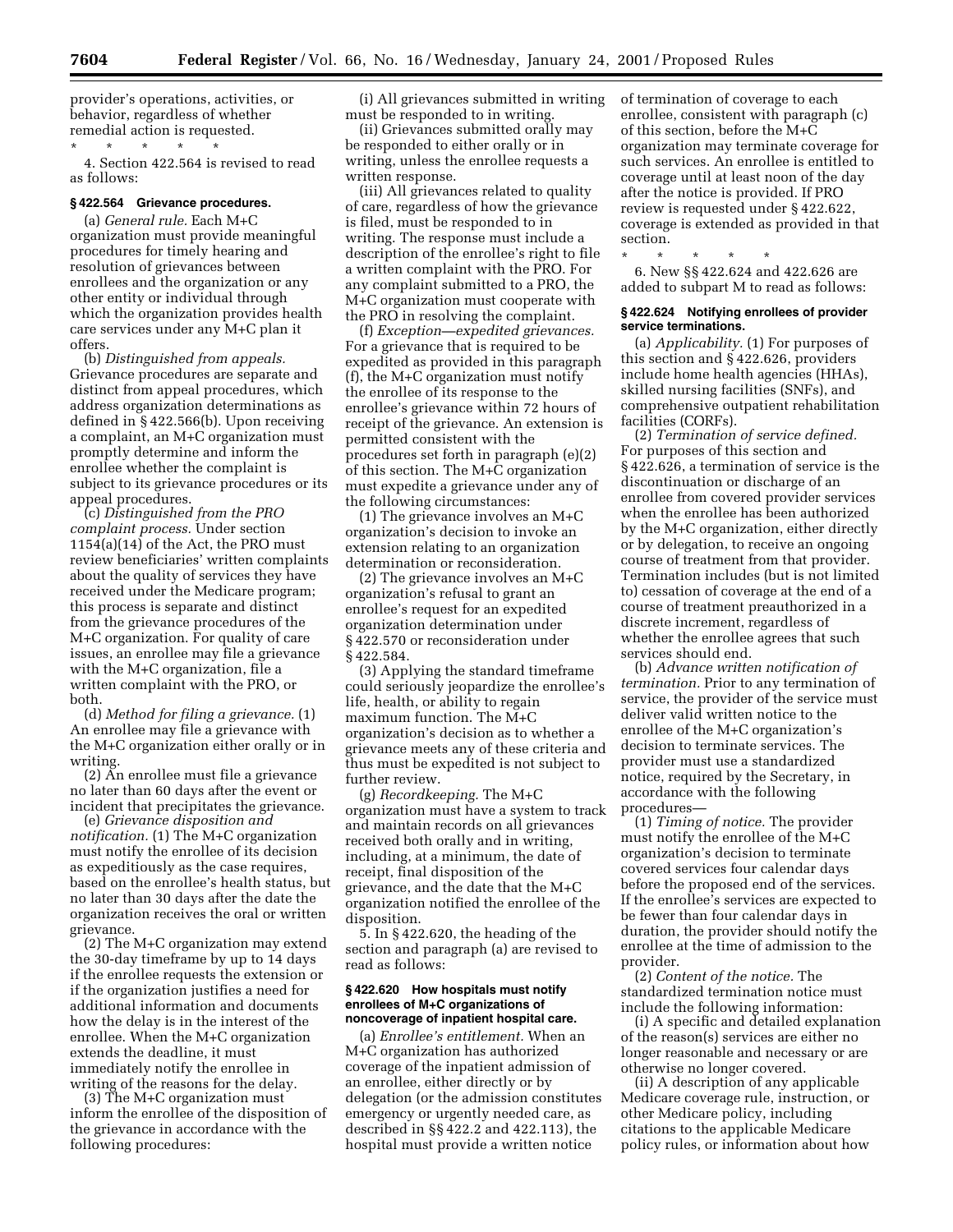provider's operations, activities, or behavior, regardless of whether remedial action is requested.

\* \* \* \* \* 4. Section 422.564 is revised to read as follows:

# **§ 422.564 Grievance procedures.**

(a) *General rule.* Each M+C organization must provide meaningful procedures for timely hearing and resolution of grievances between enrollees and the organization or any other entity or individual through which the organization provides health care services under any M+C plan it offers.

(b) *Distinguished from appeals.* Grievance procedures are separate and distinct from appeal procedures, which address organization determinations as defined in § 422.566(b). Upon receiving a complaint, an M+C organization must promptly determine and inform the enrollee whether the complaint is subject to its grievance procedures or its appeal procedures.

(c) *Distinguished from the PRO complaint process.* Under section 1154(a)(14) of the Act, the PRO must review beneficiaries' written complaints about the quality of services they have received under the Medicare program; this process is separate and distinct from the grievance procedures of the M+C organization. For quality of care issues, an enrollee may file a grievance with the M+C organization, file a written complaint with the PRO, or both.

(d) *Method for filing a grievance.* (1) An enrollee may file a grievance with the M+C organization either orally or in writing.

(2) An enrollee must file a grievance no later than 60 days after the event or incident that precipitates the grievance.

(e) *Grievance disposition and notification.* (1) The M+C organization must notify the enrollee of its decision as expeditiously as the case requires, based on the enrollee's health status, but no later than 30 days after the date the organization receives the oral or written grievance.

(2) The M+C organization may extend the 30-day timeframe by up to 14 days if the enrollee requests the extension or if the organization justifies a need for additional information and documents how the delay is in the interest of the enrollee. When the M+C organization extends the deadline, it must immediately notify the enrollee in writing of the reasons for the delay.

(3) The M+C organization must inform the enrollee of the disposition of the grievance in accordance with the following procedures:

(i) All grievances submitted in writing must be responded to in writing.

(ii) Grievances submitted orally may be responded to either orally or in writing, unless the enrollee requests a written response.

(iii) All grievances related to quality of care, regardless of how the grievance is filed, must be responded to in writing. The response must include a description of the enrollee's right to file a written complaint with the PRO. For any complaint submitted to a PRO, the M+C organization must cooperate with the PRO in resolving the complaint.

(f) *Exception—expedited grievances.* For a grievance that is required to be expedited as provided in this paragraph (f), the M+C organization must notify the enrollee of its response to the enrollee's grievance within 72 hours of receipt of the grievance. An extension is permitted consistent with the procedures set forth in paragraph (e)(2) of this section. The M+C organization must expedite a grievance under any of the following circumstances:

(1) The grievance involves an M+C organization's decision to invoke an extension relating to an organization determination or reconsideration.

(2) The grievance involves an M+C organization's refusal to grant an enrollee's request for an expedited organization determination under § 422.570 or reconsideration under § 422.584.

(3) Applying the standard timeframe could seriously jeopardize the enrollee's life, health, or ability to regain maximum function. The M+C organization's decision as to whether a grievance meets any of these criteria and thus must be expedited is not subject to further review.

(g) *Recordkeeping.* The M+C organization must have a system to track and maintain records on all grievances received both orally and in writing, including, at a minimum, the date of receipt, final disposition of the grievance, and the date that the M+C organization notified the enrollee of the disposition.

5. In § 422.620, the heading of the section and paragraph (a) are revised to read as follows:

### **§ 422.620 How hospitals must notify enrollees of M+C organizations of noncoverage of inpatient hospital care.**

(a) *Enrollee's entitlement.* When an M+C organization has authorized coverage of the inpatient admission of an enrollee, either directly or by delegation (or the admission constitutes emergency or urgently needed care, as described in §§ 422.2 and 422.113), the hospital must provide a written notice

of termination of coverage to each enrollee, consistent with paragraph (c) of this section, before the M+C organization may terminate coverage for such services. An enrollee is entitled to coverage until at least noon of the day after the notice is provided. If PRO review is requested under § 422.622, coverage is extended as provided in that section.

\* \* \* \* \*

6. New §§ 422.624 and 422.626 are added to subpart M to read as follows:

#### **§ 422.624 Notifying enrollees of provider service terminations.**

(a) *Applicability.* (1) For purposes of this section and § 422.626, providers include home health agencies (HHAs), skilled nursing facilities (SNFs), and comprehensive outpatient rehabilitation facilities (CORFs).

(2) *Termination of service defined.* For purposes of this section and § 422.626, a termination of service is the discontinuation or discharge of an enrollee from covered provider services when the enrollee has been authorized by the M+C organization, either directly or by delegation, to receive an ongoing course of treatment from that provider. Termination includes (but is not limited to) cessation of coverage at the end of a course of treatment preauthorized in a discrete increment, regardless of whether the enrollee agrees that such services should end.

(b) *Advance written notification of termination.* Prior to any termination of service, the provider of the service must deliver valid written notice to the enrollee of the M+C organization's decision to terminate services. The provider must use a standardized notice, required by the Secretary, in accordance with the following procedures—

(1) *Timing of notice.* The provider must notify the enrollee of the M+C organization's decision to terminate covered services four calendar days before the proposed end of the services. If the enrollee's services are expected to be fewer than four calendar days in duration, the provider should notify the enrollee at the time of admission to the provider.

(2) *Content of the notice.* The standardized termination notice must include the following information:

(i) A specific and detailed explanation of the reason(s) services are either no longer reasonable and necessary or are otherwise no longer covered.

(ii) A description of any applicable Medicare coverage rule, instruction, or other Medicare policy, including citations to the applicable Medicare policy rules, or information about how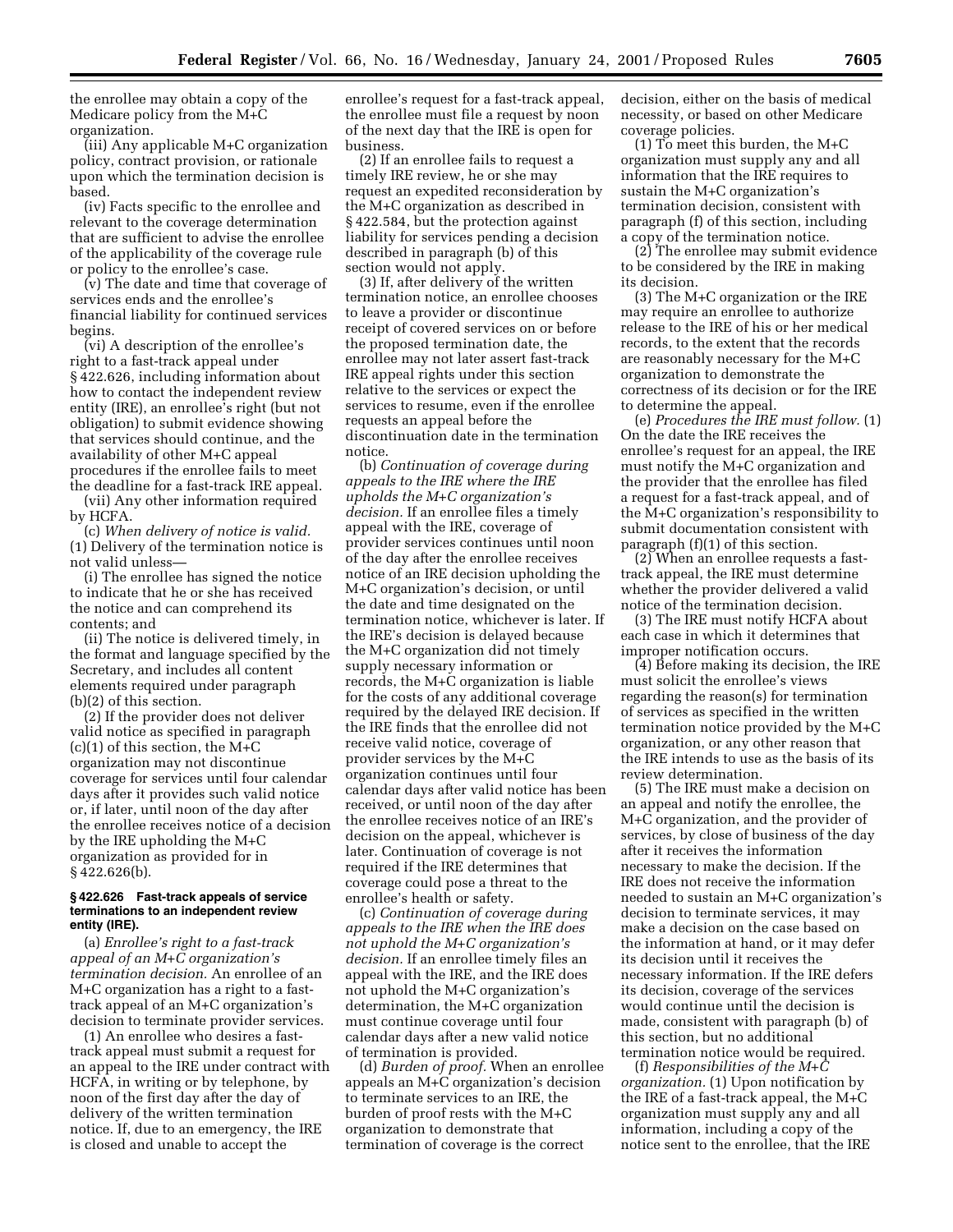the enrollee may obtain a copy of the Medicare policy from the M+C organization.

(iii) Any applicable M+C organization policy, contract provision, or rationale upon which the termination decision is based.

(iv) Facts specific to the enrollee and relevant to the coverage determination that are sufficient to advise the enrollee of the applicability of the coverage rule or policy to the enrollee's case.

(v) The date and time that coverage of services ends and the enrollee's financial liability for continued services begins.

(vi) A description of the enrollee's right to a fast-track appeal under § 422.626, including information about how to contact the independent review entity (IRE), an enrollee's right (but not obligation) to submit evidence showing that services should continue, and the availability of other M+C appeal procedures if the enrollee fails to meet the deadline for a fast-track IRE appeal.

(vii) Any other information required by HCFA.

(c) *When delivery of notice is valid.* (1) Delivery of the termination notice is not valid unless—

(i) The enrollee has signed the notice to indicate that he or she has received the notice and can comprehend its contents; and

(ii) The notice is delivered timely, in the format and language specified by the Secretary, and includes all content elements required under paragraph (b)(2) of this section.

(2) If the provider does not deliver valid notice as specified in paragraph  $(c)(1)$  of this section, the M+C organization may not discontinue coverage for services until four calendar days after it provides such valid notice or, if later, until noon of the day after the enrollee receives notice of a decision by the IRE upholding the M+C organization as provided for in § 422.626(b).

#### **§ 422.626 Fast-track appeals of service terminations to an independent review entity (IRE).**

(a) *Enrollee's right to a fast-track appeal of an M+C organization's termination decision.* An enrollee of an M+C organization has a right to a fasttrack appeal of an M+C organization's decision to terminate provider services.

(1) An enrollee who desires a fasttrack appeal must submit a request for an appeal to the IRE under contract with HCFA, in writing or by telephone, by noon of the first day after the day of delivery of the written termination notice. If, due to an emergency, the IRE is closed and unable to accept the

enrollee's request for a fast-track appeal, the enrollee must file a request by noon of the next day that the IRE is open for business.

(2) If an enrollee fails to request a timely IRE review, he or she may request an expedited reconsideration by the M+C organization as described in § 422.584, but the protection against liability for services pending a decision described in paragraph (b) of this section would not apply.

(3) If, after delivery of the written termination notice, an enrollee chooses to leave a provider or discontinue receipt of covered services on or before the proposed termination date, the enrollee may not later assert fast-track IRE appeal rights under this section relative to the services or expect the services to resume, even if the enrollee requests an appeal before the discontinuation date in the termination notice.

(b) *Continuation of coverage during appeals to the IRE where the IRE upholds the M+C organization's decision.* If an enrollee files a timely appeal with the IRE, coverage of provider services continues until noon of the day after the enrollee receives notice of an IRE decision upholding the M+C organization's decision, or until the date and time designated on the termination notice, whichever is later. If the IRE's decision is delayed because the M+C organization did not timely supply necessary information or records, the M+C organization is liable for the costs of any additional coverage required by the delayed IRE decision. If the IRE finds that the enrollee did not receive valid notice, coverage of provider services by the M+C organization continues until four calendar days after valid notice has been received, or until noon of the day after the enrollee receives notice of an IRE's decision on the appeal, whichever is later. Continuation of coverage is not required if the IRE determines that coverage could pose a threat to the enrollee's health or safety.

(c) *Continuation of coverage during appeals to the IRE when the IRE does not uphold the M+C organization's decision.* If an enrollee timely files an appeal with the IRE, and the IRE does not uphold the M+C organization's determination, the M+C organization must continue coverage until four calendar days after a new valid notice of termination is provided.

(d) *Burden of proof.* When an enrollee appeals an M+C organization's decision to terminate services to an IRE, the burden of proof rests with the M+C organization to demonstrate that termination of coverage is the correct

decision, either on the basis of medical necessity, or based on other Medicare coverage policies.

(1) To meet this burden, the M+C organization must supply any and all information that the IRE requires to sustain the M+C organization's termination decision, consistent with paragraph (f) of this section, including a copy of the termination notice.

(2) The enrollee may submit evidence to be considered by the IRE in making its decision.

(3) The M+C organization or the IRE may require an enrollee to authorize release to the IRE of his or her medical records, to the extent that the records are reasonably necessary for the M+C organization to demonstrate the correctness of its decision or for the IRE to determine the appeal.

(e) *Procedures the IRE must follow.* (1) On the date the IRE receives the enrollee's request for an appeal, the IRE must notify the M+C organization and the provider that the enrollee has filed a request for a fast-track appeal, and of the M+C organization's responsibility to submit documentation consistent with paragraph (f)(1) of this section.

 $(2)$  When an enrollee requests a fasttrack appeal, the IRE must determine whether the provider delivered a valid notice of the termination decision.

(3) The IRE must notify HCFA about each case in which it determines that improper notification occurs.

(4) Before making its decision, the IRE must solicit the enrollee's views regarding the reason(s) for termination of services as specified in the written termination notice provided by the M+C organization, or any other reason that the IRE intends to use as the basis of its review determination.

(5) The IRE must make a decision on an appeal and notify the enrollee, the M+C organization, and the provider of services, by close of business of the day after it receives the information necessary to make the decision. If the IRE does not receive the information needed to sustain an M+C organization's decision to terminate services, it may make a decision on the case based on the information at hand, or it may defer its decision until it receives the necessary information. If the IRE defers its decision, coverage of the services would continue until the decision is made, consistent with paragraph (b) of this section, but no additional termination notice would be required.

(f) *Responsibilities of the M+C organization.* (1) Upon notification by the IRE of a fast-track appeal, the M+C organization must supply any and all information, including a copy of the notice sent to the enrollee, that the IRE